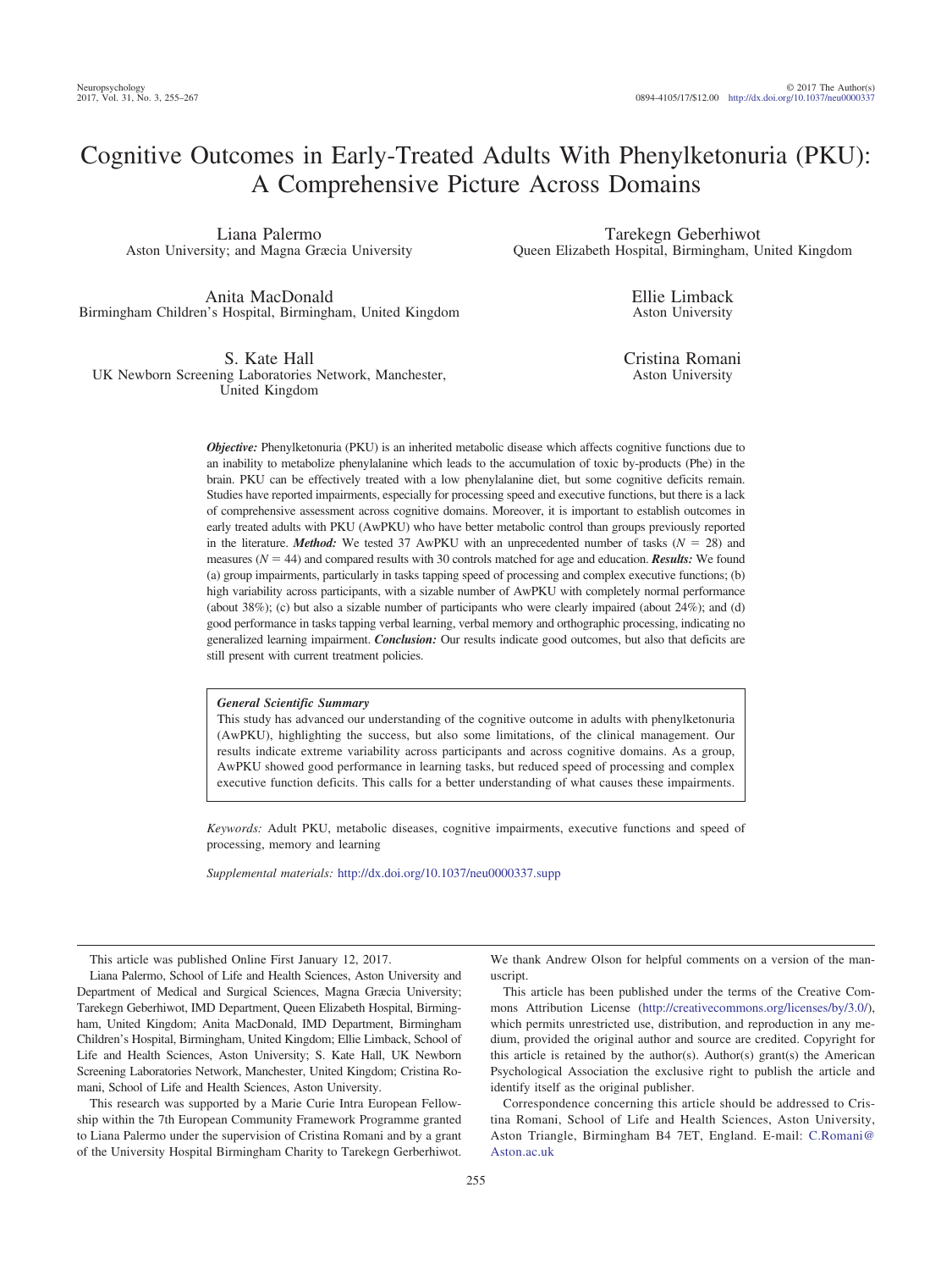# Cognitive Outcomes in Early-Treated Adults With Phenylketonuria (PKU): A Comprehensive Picture Across Domains

Liana Palermo Aston University; and Magna Græcia University

Anita MacDonald Birmingham Children's Hospital, Birmingham, United Kingdom

S. Kate Hall UK Newborn Screening Laboratories Network, Manchester, United Kingdom

Tarekegn Geberhiwot Queen Elizabeth Hospital, Birmingham, United Kingdom

> Ellie Limback Aston University

Cristina Romani Aston University

*Objective:* Phenylketonuria (PKU) is an inherited metabolic disease which affects cognitive functions due to an inability to metabolize phenylalanine which leads to the accumulation of toxic by-products (Phe) in the brain. PKU can be effectively treated with a low phenylalanine diet, but some cognitive deficits remain. Studies have reported impairments, especially for processing speed and executive functions, but there is a lack of comprehensive assessment across cognitive domains. Moreover, it is important to establish outcomes in early treated adults with PKU (AwPKU) who have better metabolic control than groups previously reported in the literature. *Method:* We tested 37 AwPKU with an unprecedented number of tasks  $(N = 28)$  and measures ( $N = 44$ ) and compared results with 30 controls matched for age and education. *Results:* We found (a) group impairments, particularly in tasks tapping speed of processing and complex executive functions; (b) high variability across participants, with a sizable number of AwPKU with completely normal performance (about 38%); (c) but also a sizable number of participants who were clearly impaired (about 24%); and (d) good performance in tasks tapping verbal learning, verbal memory and orthographic processing, indicating no generalized learning impairment. *Conclusion:* Our results indicate good outcomes, but also that deficits are still present with current treatment policies.

## *General Scientific Summary*

This study has advanced our understanding of the cognitive outcome in adults with phenylketonuria (AwPKU), highlighting the success, but also some limitations, of the clinical management. Our results indicate extreme variability across participants and across cognitive domains. As a group, AwPKU showed good performance in learning tasks, but reduced speed of processing and complex executive function deficits. This calls for a better understanding of what causes these impairments.

*Keywords:* Adult PKU, metabolic diseases, cognitive impairments, executive functions and speed of processing, memory and learning

*Supplemental materials:* http://dx.doi.org[/10.1037/neu0000337.supp](http://dx.doi.org/10.1037/neu0000337.supp)

This article was published Online First January 12, 2017.

Liana Palermo, School of Life and Health Sciences, Aston University and Department of Medical and Surgical Sciences, Magna Græcia University; Tarekegn Geberhiwot, IMD Department, Queen Elizabeth Hospital, Birmingham, United Kingdom; Anita MacDonald, IMD Department, Birmingham Children's Hospital, Birmingham, United Kingdom; Ellie Limback, School of Life and Health Sciences, Aston University; S. Kate Hall, UK Newborn Screening Laboratories Network, Manchester, United Kingdom; Cristina Romani, School of Life and Health Sciences, Aston University.

This research was supported by a Marie Curie Intra European Fellowship within the 7th European Community Framework Programme granted to Liana Palermo under the supervision of Cristina Romani and by a grant of the University Hospital Birmingham Charity to Tarekegn Gerberhiwot.

We thank Andrew Olson for helpful comments on a version of the manuscript.

This article has been published under the terms of the Creative Commons Attribution License [\(http://creativecommons.org/licenses/by/3.0/\)](http://creativecommons.org/licenses/by/3.0/), which permits unrestricted use, distribution, and reproduction in any medium, provided the original author and source are credited. Copyright for this article is retained by the author(s). Author(s) grant(s) the American Psychological Association the exclusive right to publish the article and identify itself as the original publisher.

Correspondence concerning this article should be addressed to Cristina Romani, School of Life and Health Sciences, Aston University, Aston Triangle, Birmingham B4 7ET, England. E-mail: [C.Romani@](mailto:C.Romani@Aston.ac.uk) [Aston.ac.uk](mailto:C.Romani@Aston.ac.uk)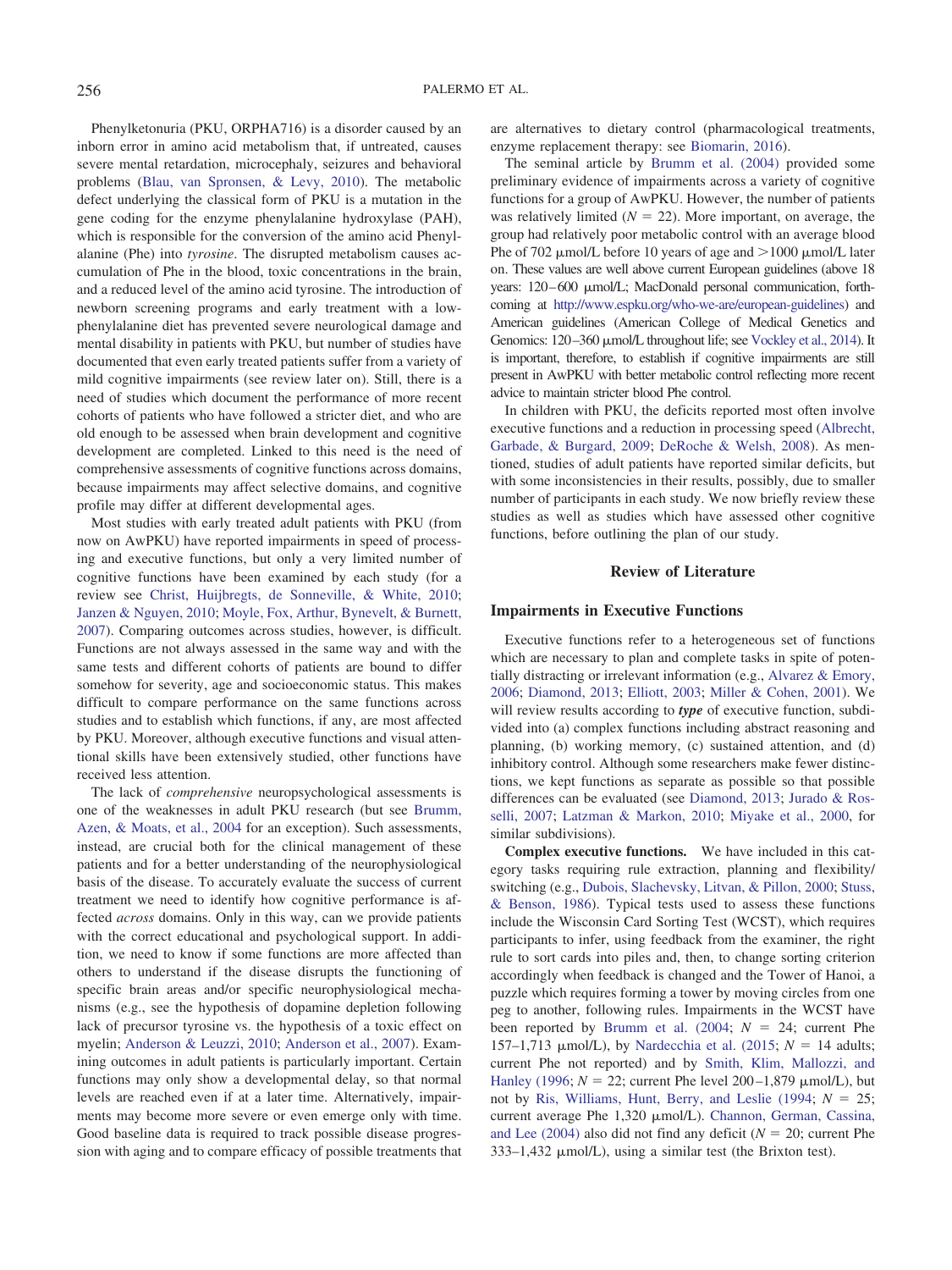Phenylketonuria (PKU, ORPHA716) is a disorder caused by an inborn error in amino acid metabolism that, if untreated, causes severe mental retardation, microcephaly, seizures and behavioral problems [\(Blau, van Spronsen, & Levy, 2010\)](#page-10-0). The metabolic defect underlying the classical form of PKU is a mutation in the gene coding for the enzyme phenylalanine hydroxylase (PAH), which is responsible for the conversion of the amino acid Phenylalanine (Phe) into *tyrosine*. The disrupted metabolism causes accumulation of Phe in the blood, toxic concentrations in the brain, and a reduced level of the amino acid tyrosine. The introduction of newborn screening programs and early treatment with a lowphenylalanine diet has prevented severe neurological damage and mental disability in patients with PKU, but number of studies have documented that even early treated patients suffer from a variety of mild cognitive impairments (see review later on). Still, there is a need of studies which document the performance of more recent cohorts of patients who have followed a stricter diet, and who are old enough to be assessed when brain development and cognitive development are completed. Linked to this need is the need of comprehensive assessments of cognitive functions across domains, because impairments may affect selective domains, and cognitive profile may differ at different developmental ages.

Most studies with early treated adult patients with PKU (from now on AwPKU) have reported impairments in speed of processing and executive functions, but only a very limited number of cognitive functions have been examined by each study (for a review see [Christ, Huijbregts, de Sonneville, & White, 2010;](#page-11-0) [Janzen & Nguyen, 2010;](#page-11-1) [Moyle, Fox, Arthur, Bynevelt, & Burnett,](#page-11-2) [2007\)](#page-11-2). Comparing outcomes across studies, however, is difficult. Functions are not always assessed in the same way and with the same tests and different cohorts of patients are bound to differ somehow for severity, age and socioeconomic status. This makes difficult to compare performance on the same functions across studies and to establish which functions, if any, are most affected by PKU. Moreover, although executive functions and visual attentional skills have been extensively studied, other functions have received less attention.

The lack of *comprehensive* neuropsychological assessments is one of the weaknesses in adult PKU research (but see [Brumm,](#page-10-1) [Azen, & Moats, et al., 2004](#page-10-1) for an exception). Such assessments, instead, are crucial both for the clinical management of these patients and for a better understanding of the neurophysiological basis of the disease. To accurately evaluate the success of current treatment we need to identify how cognitive performance is affected *across* domains. Only in this way, can we provide patients with the correct educational and psychological support. In addition, we need to know if some functions are more affected than others to understand if the disease disrupts the functioning of specific brain areas and/or specific neurophysiological mechanisms (e.g., see the hypothesis of dopamine depletion following lack of precursor tyrosine vs. the hypothesis of a toxic effect on myelin; [Anderson & Leuzzi, 2010;](#page-10-2) [Anderson et al., 2007\)](#page-10-3). Examining outcomes in adult patients is particularly important. Certain functions may only show a developmental delay, so that normal levels are reached even if at a later time. Alternatively, impairments may become more severe or even emerge only with time. Good baseline data is required to track possible disease progression with aging and to compare efficacy of possible treatments that

are alternatives to dietary control (pharmacological treatments, enzyme replacement therapy: see [Biomarin, 2016\)](#page-10-4).

The seminal article by [Brumm et al. \(2004\)](#page-10-1) provided some preliminary evidence of impairments across a variety of cognitive functions for a group of AwPKU. However, the number of patients was relatively limited  $(N = 22)$ . More important, on average, the group had relatively poor metabolic control with an average blood Phe of 702  $\mu$ mol/L before 10 years of age and  $>$ 1000  $\mu$ mol/L later on. These values are well above current European guidelines (above 18 years: 120–600 µmol/L; MacDonald personal communication, forthcoming at [http://www.espku.org/who-we-are/european-guidelines\)](http://www.espku.org/who-we-are/european-guidelines) and American guidelines (American College of Medical Genetics and Genomics: 120-360 µmol/L throughout life; see [Vockley et al., 2014\)](#page-12-0). It is important, therefore, to establish if cognitive impairments are still present in AwPKU with better metabolic control reflecting more recent advice to maintain stricter blood Phe control.

In children with PKU, the deficits reported most often involve executive functions and a reduction in processing speed [\(Albrecht,](#page-10-5) [Garbade, & Burgard, 2009;](#page-10-5) [DeRoche & Welsh, 2008\)](#page-11-3). As mentioned, studies of adult patients have reported similar deficits, but with some inconsistencies in their results, possibly, due to smaller number of participants in each study. We now briefly review these studies as well as studies which have assessed other cognitive functions, before outlining the plan of our study.

## **Review of Literature**

## **Impairments in Executive Functions**

Executive functions refer to a heterogeneous set of functions which are necessary to plan and complete tasks in spite of potentially distracting or irrelevant information (e.g., [Alvarez & Emory,](#page-10-6) [2006;](#page-10-6) [Diamond, 2013;](#page-11-4) [Elliott, 2003;](#page-11-5) [Miller & Cohen, 2001\)](#page-11-6). We will review results according to **type** of executive function, subdivided into (a) complex functions including abstract reasoning and planning, (b) working memory, (c) sustained attention, and (d) inhibitory control. Although some researchers make fewer distinctions, we kept functions as separate as possible so that possible differences can be evaluated (see [Diamond, 2013;](#page-11-4) [Jurado & Ros](#page-11-7)[selli, 2007;](#page-11-7) [Latzman & Markon, 2010;](#page-11-8) [Miyake et al., 2000,](#page-11-9) for similar subdivisions).

**Complex executive functions.** We have included in this category tasks requiring rule extraction, planning and flexibility/ switching (e.g., [Dubois, Slachevsky, Litvan, & Pillon, 2000;](#page-11-10) [Stuss,](#page-12-1) [& Benson, 1986\)](#page-12-1). Typical tests used to assess these functions include the Wisconsin Card Sorting Test (WCST), which requires participants to infer, using feedback from the examiner, the right rule to sort cards into piles and, then, to change sorting criterion accordingly when feedback is changed and the Tower of Hanoi, a puzzle which requires forming a tower by moving circles from one peg to another, following rules. Impairments in the WCST have been reported by Brumm et al.  $(2004; N = 24;$  current Phe 157–1,713  $\mu$ mol/L), by [Nardecchia et al. \(2015;](#page-11-11)  $N = 14$  adults; current Phe not reported) and by [Smith, Klim, Mallozzi, and](#page-12-2) [Hanley \(1996;](#page-12-2)  $N = 22$ ; current Phe level 200–1,879  $\mu$ mol/L), but not by Ris, Williams, Hunt, Berry, and Leslie  $(1994; N = 25;$ current average Phe 1,320 µmol/L). [Channon, German, Cassina,](#page-10-7) and Lee  $(2004)$  also did not find any deficit ( $N = 20$ ; current Phe  $333-1,432 \mu$ mol/L), using a similar test (the Brixton test).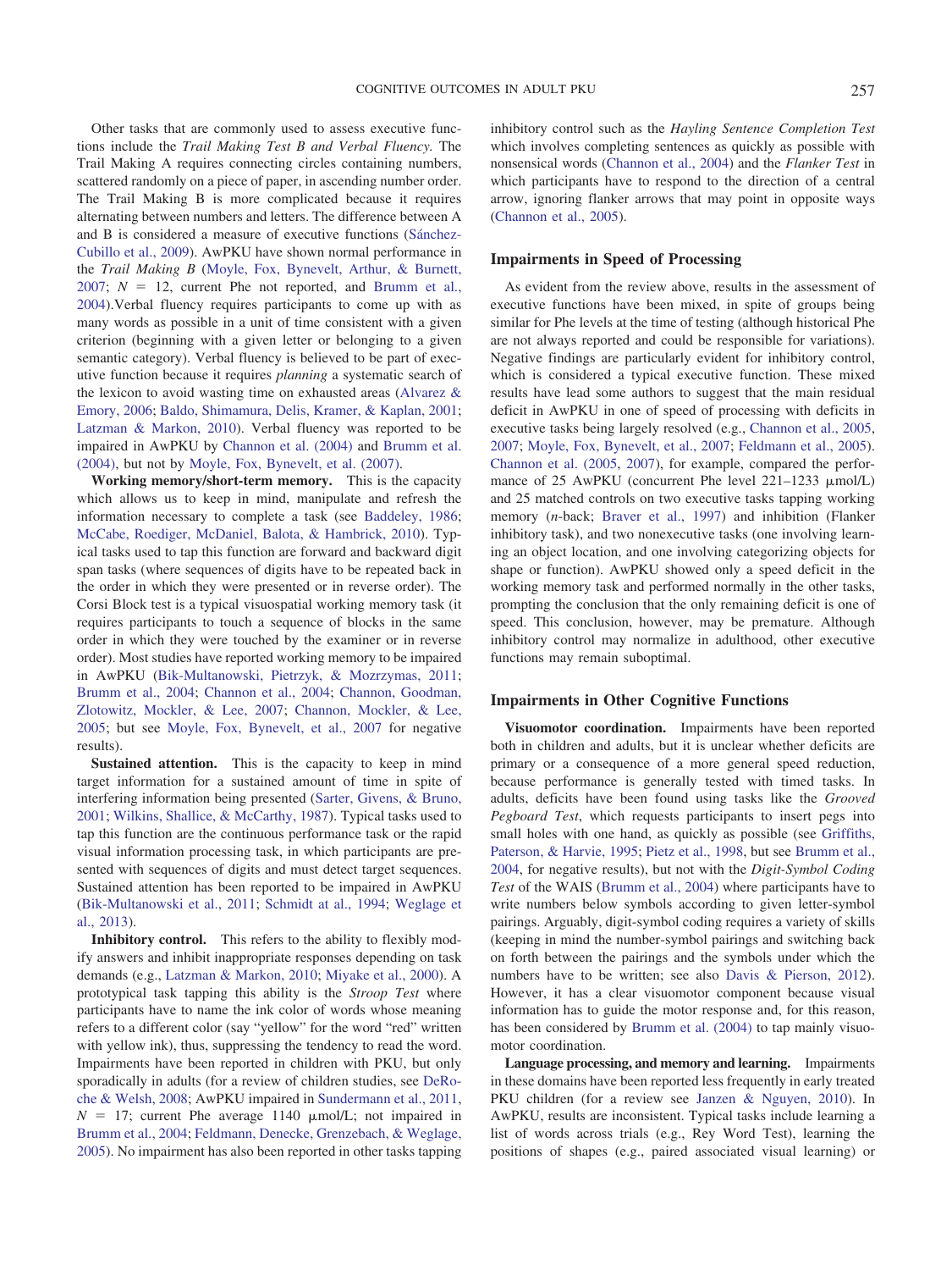Other tasks that are commonly used to assess executive functions include the *Trail Making Test B and Verbal Fluency.* The Trail Making A requires connecting circles containing numbers, scattered randomly on a piece of paper, in ascending number order. The Trail Making B is more complicated because it requires alternating between numbers and letters. The difference between A and B is considered a measure of executive functions [\(Sánchez-](#page-12-3)[Cubillo et al., 2009\)](#page-12-3). AwPKU have shown normal performance in the *Trail Making B* [\(Moyle, Fox, Bynevelt, Arthur, & Burnett,](#page-11-13)  $2007$ ;  $N = 12$ , current Phe not reported, and [Brumm et al.,](#page-10-1) [2004\)](#page-10-1).Verbal fluency requires participants to come up with as many words as possible in a unit of time consistent with a given criterion (beginning with a given letter or belonging to a given semantic category). Verbal fluency is believed to be part of executive function because it requires *planning* a systematic search of the lexicon to avoid wasting time on exhausted areas [\(Alvarez &](#page-10-6) [Emory, 2006;](#page-10-6) [Baldo, Shimamura, Delis, Kramer, & Kaplan, 2001;](#page-10-8) [Latzman & Markon, 2010\)](#page-11-8). Verbal fluency was reported to be impaired in AwPKU by [Channon et al. \(2004\)](#page-10-7) and [Brumm et al.](#page-10-1) [\(2004\),](#page-10-1) but not by [Moyle, Fox, Bynevelt, et al. \(2007\).](#page-11-13)

**Working memory/short-term memory.** This is the capacity which allows us to keep in mind, manipulate and refresh the information necessary to complete a task (see [Baddeley, 1986;](#page-10-9) [McCabe, Roediger, McDaniel, Balota, & Hambrick, 2010\)](#page-11-14). Typical tasks used to tap this function are forward and backward digit span tasks (where sequences of digits have to be repeated back in the order in which they were presented or in reverse order). The Corsi Block test is a typical visuospatial working memory task (it requires participants to touch a sequence of blocks in the same order in which they were touched by the examiner or in reverse order). Most studies have reported working memory to be impaired in AwPKU [\(Bik-Multanowski, Pietrzyk, & Mozrzymas, 2011;](#page-10-10) [Brumm et al., 2004;](#page-10-1) [Channon et al., 2004;](#page-10-7) [Channon, Goodman,](#page-11-15) [Zlotowitz, Mockler, & Lee, 2007;](#page-11-15) [Channon, Mockler, & Lee,](#page-11-16) [2005;](#page-11-16) but see [Moyle, Fox, Bynevelt, et al., 2007](#page-11-13) for negative results).

**Sustained attention.** This is the capacity to keep in mind target information for a sustained amount of time in spite of interfering information being presented [\(Sarter, Givens, & Bruno,](#page-12-4) [2001;](#page-12-4) [Wilkins, Shallice, & McCarthy, 1987\)](#page-12-5). Typical tasks used to tap this function are the continuous performance task or the rapid visual information processing task, in which participants are presented with sequences of digits and must detect target sequences. Sustained attention has been reported to be impaired in AwPKU [\(Bik-Multanowski et al., 2011;](#page-10-10) [Schmidt at al., 1994;](#page-12-6) [Weglage et](#page-12-7) [al., 2013\)](#page-12-7).

**Inhibitory control.** This refers to the ability to flexibly modify answers and inhibit inappropriate responses depending on task demands (e.g., [Latzman & Markon, 2010;](#page-11-8) [Miyake et al., 2000\)](#page-11-9). A prototypical task tapping this ability is the *Stroop Test* where participants have to name the ink color of words whose meaning refers to a different color (say "yellow" for the word "red" written with yellow ink), thus, suppressing the tendency to read the word. Impairments have been reported in children with PKU, but only sporadically in adults (for a review of children studies, see [DeRo](#page-11-3)[che & Welsh, 2008;](#page-11-3) AwPKU impaired in [Sundermann et al., 2011,](#page-12-8)  $N = 17$ ; current Phe average 1140  $\mu$ mol/L; not impaired in [Brumm et al., 2004;](#page-10-1) [Feldmann, Denecke, Grenzebach, & Weglage,](#page-11-17) [2005\)](#page-11-17). No impairment has also been reported in other tasks tapping

inhibitory control such as the *Hayling Sentence Completion Test* which involves completing sentences as quickly as possible with nonsensical words [\(Channon et al., 2004\)](#page-10-7) and the *Flanker Test* in which participants have to respond to the direction of a central arrow, ignoring flanker arrows that may point in opposite ways [\(Channon et al., 2005\)](#page-11-16).

## **Impairments in Speed of Processing**

As evident from the review above, results in the assessment of executive functions have been mixed, in spite of groups being similar for Phe levels at the time of testing (although historical Phe are not always reported and could be responsible for variations). Negative findings are particularly evident for inhibitory control, which is considered a typical executive function. These mixed results have lead some authors to suggest that the main residual deficit in AwPKU in one of speed of processing with deficits in executive tasks being largely resolved (e.g., [Channon et al., 2005,](#page-11-16) [2007;](#page-11-15) [Moyle, Fox, Bynevelt, et al., 2007;](#page-11-13) [Feldmann et al., 2005\)](#page-11-17). [Channon et al. \(2005,](#page-11-16) [2007\)](#page-11-15), for example, compared the performance of 25 AwPKU (concurrent Phe level 221-1233 µmol/L) and 25 matched controls on two executive tasks tapping working memory (*n*-back; [Braver et al., 1997\)](#page-10-11) and inhibition (Flanker inhibitory task), and two nonexecutive tasks (one involving learning an object location, and one involving categorizing objects for shape or function). AwPKU showed only a speed deficit in the working memory task and performed normally in the other tasks, prompting the conclusion that the only remaining deficit is one of speed. This conclusion, however, may be premature. Although inhibitory control may normalize in adulthood, other executive functions may remain suboptimal.

#### **Impairments in Other Cognitive Functions**

**Visuomotor coordination.** Impairments have been reported both in children and adults, but it is unclear whether deficits are primary or a consequence of a more general speed reduction, because performance is generally tested with timed tasks. In adults, deficits have been found using tasks like the *Grooved Pegboard Test*, which requests participants to insert pegs into small holes with one hand, as quickly as possible (see [Griffiths,](#page-11-18) [Paterson, & Harvie, 1995;](#page-11-18) [Pietz et al., 1998,](#page-11-19) but see [Brumm et al.,](#page-10-1) [2004,](#page-10-1) for negative results), but not with the *Digit-Symbol Coding Test* of the WAIS [\(Brumm et al., 2004\)](#page-10-1) where participants have to write numbers below symbols according to given letter-symbol pairings. Arguably, digit-symbol coding requires a variety of skills (keeping in mind the number-symbol pairings and switching back on forth between the pairings and the symbols under which the numbers have to be written; see also [Davis & Pierson, 2012\)](#page-11-20). However, it has a clear visuomotor component because visual information has to guide the motor response and, for this reason, has been considered by [Brumm et al. \(2004\)](#page-10-1) to tap mainly visuomotor coordination.

**Language processing, and memory and learning.** Impairments in these domains have been reported less frequently in early treated PKU children (for a review see [Janzen & Nguyen, 2010\)](#page-11-1). In AwPKU, results are inconsistent. Typical tasks include learning a list of words across trials (e.g., Rey Word Test), learning the positions of shapes (e.g., paired associated visual learning) or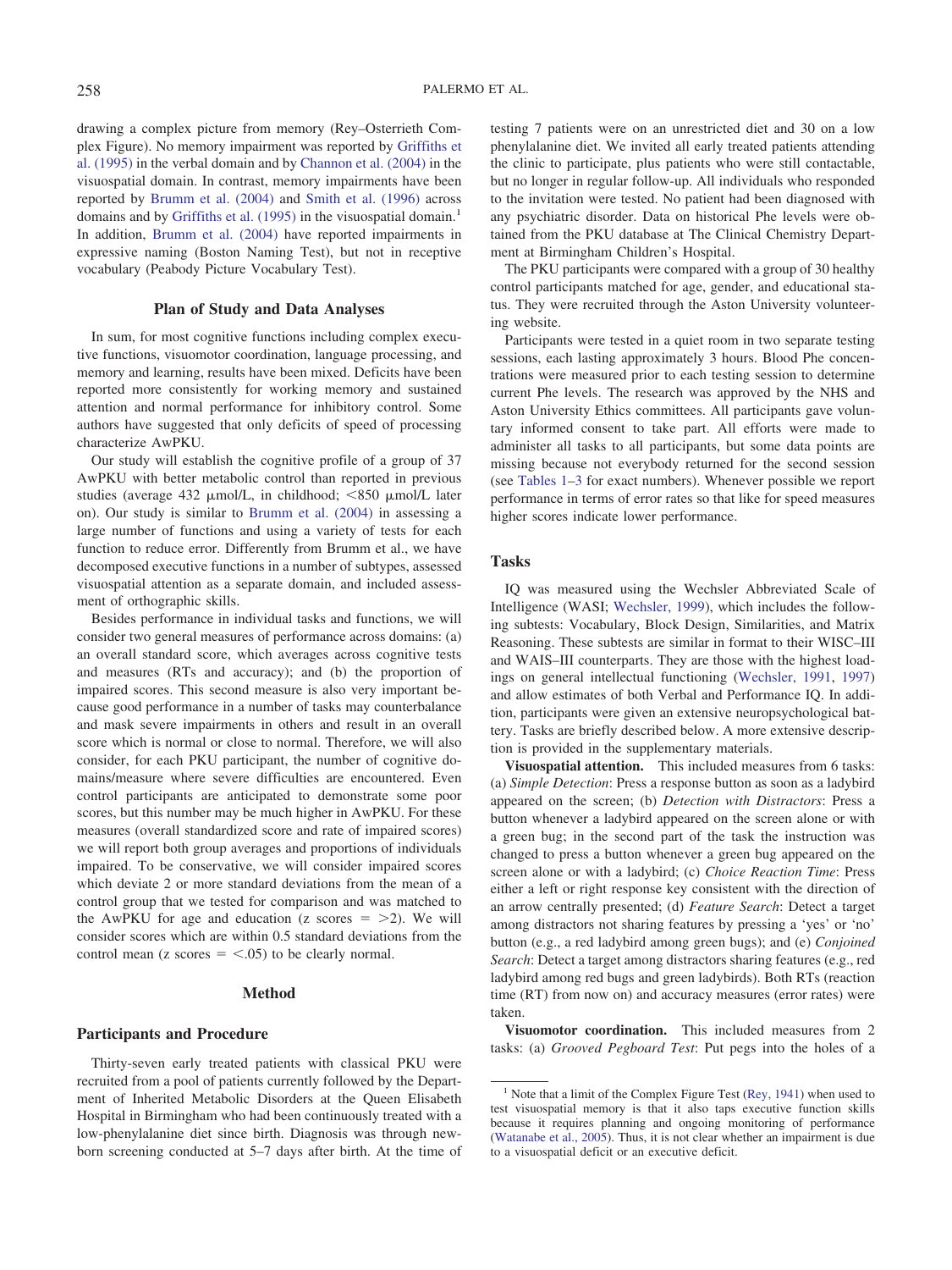drawing a complex picture from memory (Rey–Osterrieth Complex Figure). No memory impairment was reported by [Griffiths et](#page-11-18) [al. \(1995\)](#page-11-18) in the verbal domain and by [Channon et al. \(2004\)](#page-10-7) in the visuospatial domain. In contrast, memory impairments have been reported by [Brumm et al. \(2004\)](#page-10-1) and [Smith et al. \(1996\)](#page-12-2) across domains and by [Griffiths et al. \(1995\)](#page-11-18) in the visuospatial domain.<sup>1</sup> In addition, [Brumm et al. \(2004\)](#page-10-1) have reported impairments in expressive naming (Boston Naming Test), but not in receptive vocabulary (Peabody Picture Vocabulary Test).

## **Plan of Study and Data Analyses**

In sum, for most cognitive functions including complex executive functions, visuomotor coordination, language processing, and memory and learning, results have been mixed. Deficits have been reported more consistently for working memory and sustained attention and normal performance for inhibitory control. Some authors have suggested that only deficits of speed of processing characterize AwPKU.

Our study will establish the cognitive profile of a group of 37 AwPKU with better metabolic control than reported in previous studies (average 432  $\mu$ mol/L, in childhood; <850  $\mu$ mol/L later on). Our study is similar to [Brumm et al. \(2004\)](#page-10-1) in assessing a large number of functions and using a variety of tests for each function to reduce error. Differently from Brumm et al., we have decomposed executive functions in a number of subtypes, assessed visuospatial attention as a separate domain, and included assessment of orthographic skills.

Besides performance in individual tasks and functions, we will consider two general measures of performance across domains: (a) an overall standard score, which averages across cognitive tests and measures (RTs and accuracy); and (b) the proportion of impaired scores. This second measure is also very important because good performance in a number of tasks may counterbalance and mask severe impairments in others and result in an overall score which is normal or close to normal. Therefore, we will also consider, for each PKU participant, the number of cognitive domains/measure where severe difficulties are encountered. Even control participants are anticipated to demonstrate some poor scores, but this number may be much higher in AwPKU. For these measures (overall standardized score and rate of impaired scores) we will report both group averages and proportions of individuals impaired. To be conservative, we will consider impaired scores which deviate 2 or more standard deviations from the mean of a control group that we tested for comparison and was matched to the AwPKU for age and education ( $z$  scores  $=$   $\geq$ 2). We will consider scores which are within 0.5 standard deviations from the control mean (z scores  $=$  <.05) to be clearly normal.

#### **Method**

## **Participants and Procedure**

Thirty-seven early treated patients with classical PKU were recruited from a pool of patients currently followed by the Department of Inherited Metabolic Disorders at the Queen Elisabeth Hospital in Birmingham who had been continuously treated with a low-phenylalanine diet since birth. Diagnosis was through newborn screening conducted at 5–7 days after birth. At the time of testing 7 patients were on an unrestricted diet and 30 on a low phenylalanine diet. We invited all early treated patients attending the clinic to participate, plus patients who were still contactable, but no longer in regular follow-up. All individuals who responded to the invitation were tested. No patient had been diagnosed with any psychiatric disorder. Data on historical Phe levels were obtained from the PKU database at The Clinical Chemistry Department at Birmingham Children's Hospital.

The PKU participants were compared with a group of 30 healthy control participants matched for age, gender, and educational status. They were recruited through the Aston University volunteering website.

Participants were tested in a quiet room in two separate testing sessions, each lasting approximately 3 hours. Blood Phe concentrations were measured prior to each testing session to determine current Phe levels. The research was approved by the NHS and Aston University Ethics committees. All participants gave voluntary informed consent to take part. All efforts were made to administer all tasks to all participants, but some data points are missing because not everybody returned for the second session (see [Tables 1](#page-4-0)[–3](#page-6-0) for exact numbers). Whenever possible we report performance in terms of error rates so that like for speed measures higher scores indicate lower performance.

#### **Tasks**

IQ was measured using the Wechsler Abbreviated Scale of Intelligence (WASI; [Wechsler, 1999\)](#page-12-9), which includes the following subtests: Vocabulary, Block Design, Similarities, and Matrix Reasoning. These subtests are similar in format to their WISC–III and WAIS–III counterparts. They are those with the highest loadings on general intellectual functioning [\(Wechsler, 1991,](#page-12-10) [1997\)](#page-12-11) and allow estimates of both Verbal and Performance IQ. In addition, participants were given an extensive neuropsychological battery. Tasks are briefly described below. A more extensive description is provided in the supplementary materials.

**Visuospatial attention.** This included measures from 6 tasks: (a) *Simple Detection*: Press a response button as soon as a ladybird appeared on the screen; (b) *Detection with Distractors*: Press a button whenever a ladybird appeared on the screen alone or with a green bug; in the second part of the task the instruction was changed to press a button whenever a green bug appeared on the screen alone or with a ladybird; (c) *Choice Reaction Time*: Press either a left or right response key consistent with the direction of an arrow centrally presented; (d) *Feature Search*: Detect a target among distractors not sharing features by pressing a 'yes' or 'no' button (e.g., a red ladybird among green bugs); and (e) *Conjoined Search*: Detect a target among distractors sharing features (e.g., red ladybird among red bugs and green ladybirds). Both RTs (reaction time (RT) from now on) and accuracy measures (error rates) were taken.

**Visuomotor coordination.** This included measures from 2 tasks: (a) *Grooved Pegboard Test*: Put pegs into the holes of a

<sup>&</sup>lt;sup>1</sup> Note that a limit of the Complex Figure Test [\(Rey, 1941\)](#page-11-21) when used to test visuospatial memory is that it also taps executive function skills because it requires planning and ongoing monitoring of performance [\(Watanabe et al., 2005\)](#page-12-12). Thus, it is not clear whether an impairment is due to a visuospatial deficit or an executive deficit.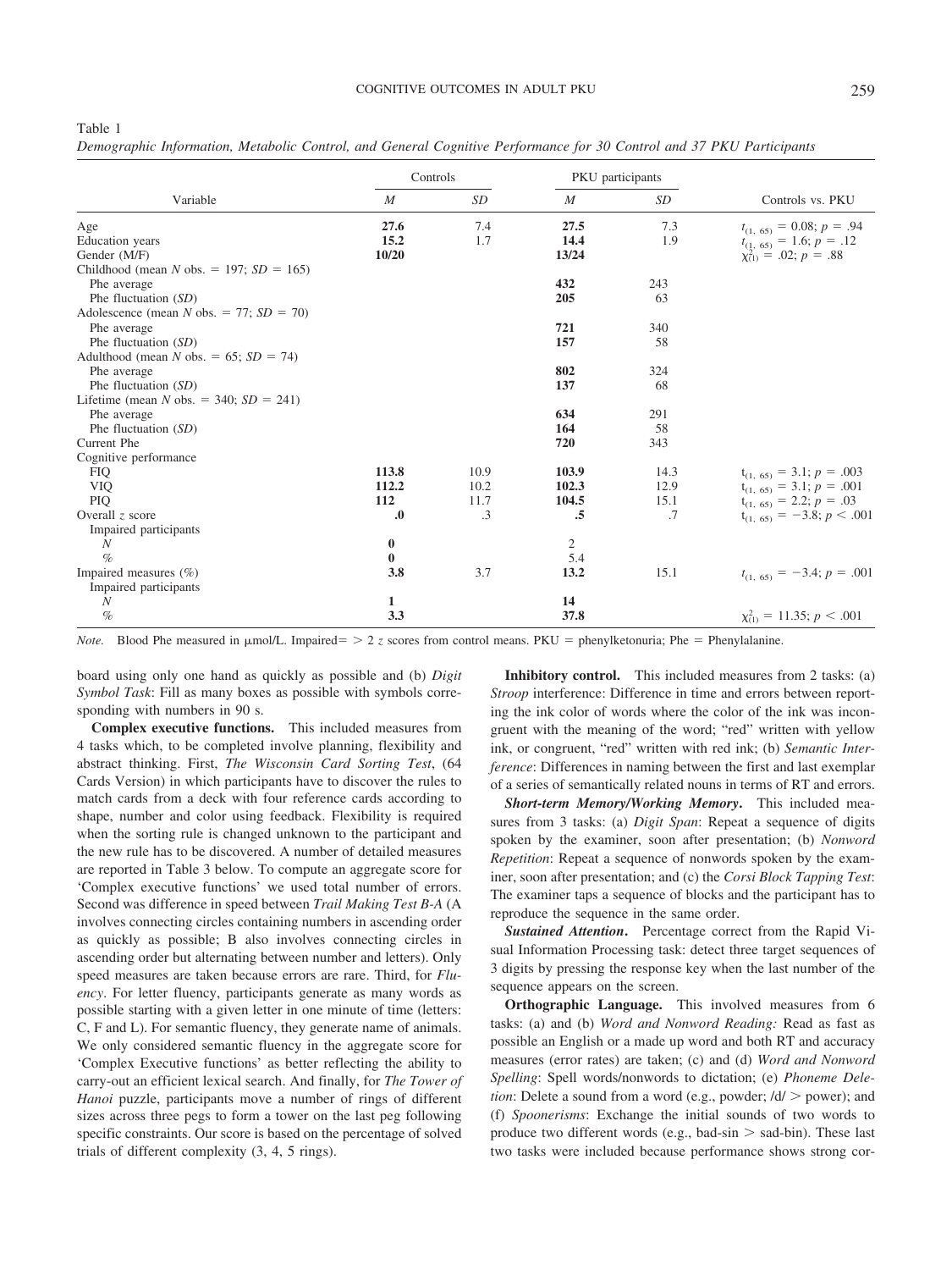<span id="page-4-0"></span>

| ×<br>۰, |  |
|---------|--|
|         |  |

*Demographic Information, Metabolic Control, and General Cognitive Performance for 30 Control and 37 PKU Participants*

|                                            | Controls         |           |                  | PKU participants |                                                                 |
|--------------------------------------------|------------------|-----------|------------------|------------------|-----------------------------------------------------------------|
| Variable                                   | M                | SD        | $\boldsymbol{M}$ | SD               | Controls vs. PKU                                                |
| Age                                        | 27.6             | 7.4       | 27.5             | 7.3              | $t_{(1, 65)} = 0.08; p = .94$                                   |
| Education years                            | 15.2             | 1.7       | 14.4             | 1.9              |                                                                 |
| Gender (M/F)                               | 10/20            |           | 13/24            |                  | $t_{(1, 65)}$ = 1.6; $p = .12$<br>$\chi^{(1)}$ = .02; $p = .88$ |
| Childhood (mean N obs. = 197; $SD = 165$ ) |                  |           |                  |                  |                                                                 |
| Phe average                                |                  |           | 432              | 243              |                                                                 |
| Phe fluctuation (SD)                       |                  |           | 205              | 63               |                                                                 |
| Adolescence (mean N obs. = 77; $SD = 70$ ) |                  |           |                  |                  |                                                                 |
| Phe average                                |                  |           | 721              | 340              |                                                                 |
| Phe fluctuation (SD)                       |                  |           | 157              | 58               |                                                                 |
| Adulthood (mean N obs. = 65; $SD = 74$ )   |                  |           |                  |                  |                                                                 |
| Phe average                                |                  |           | 802              | 324              |                                                                 |
| Phe fluctuation (SD)                       |                  |           | 137              | 68               |                                                                 |
| Lifetime (mean N obs. = 340; $SD = 241$ )  |                  |           |                  |                  |                                                                 |
| Phe average                                |                  |           | 634              | 291              |                                                                 |
| Phe fluctuation (SD)                       |                  |           | 164              | 58               |                                                                 |
| Current Phe                                |                  |           | 720              | 343              |                                                                 |
| Cognitive performance                      |                  |           |                  |                  |                                                                 |
| <b>FIQ</b>                                 | 113.8            | 10.9      | 103.9            | 14.3             | $t_{(1, 65)} = 3.1; p = .003$                                   |
| <b>VIQ</b>                                 | 112.2            | 10.2      | 102.3            | 12.9             | $t_{(1, 65)} = 3.1; p = .001$                                   |
| <b>PIQ</b>                                 | 112              | 11.7      | 104.5            | 15.1             | $t_{(1, 65)} = 2.2; p = .03$                                    |
| Overall $z$ score                          | $\boldsymbol{0}$ | $\cdot$ 3 | .5               | .7               | $t_{(1, 65)} = -3.8; p < .001$                                  |
| Impaired participants                      |                  |           |                  |                  |                                                                 |
| N                                          | $\bf{0}$         |           | $\overline{c}$   |                  |                                                                 |
| $\%$                                       | $\bf{0}$         |           | 5.4              |                  |                                                                 |
| Impaired measures $(\% )$                  | 3.8              | 3.7       | 13.2             | 15.1             | $t_{(1, 65)} = -3.4; p = .001$                                  |
| Impaired participants                      |                  |           |                  |                  |                                                                 |
| N                                          | 1                |           | 14               |                  |                                                                 |
| $\%$                                       | 3.3              |           | 37.8             |                  | $\chi^2_{(1)} = 11.35; p < .001$                                |

*Note*. Blood Phe measured in  $\mu$ mol/L. Impaired= > 2 *z* scores from control means. PKU = phenylketonuria; Phe = Phenylalanine.

board using only one hand as quickly as possible and (b) *Digit Symbol Task*: Fill as many boxes as possible with symbols corresponding with numbers in 90 s.

**Complex executive functions.** This included measures from 4 tasks which, to be completed involve planning, flexibility and abstract thinking. First, *The Wisconsin Card Sorting Test*, (64 Cards Version) in which participants have to discover the rules to match cards from a deck with four reference cards according to shape, number and color using feedback. Flexibility is required when the sorting rule is changed unknown to the participant and the new rule has to be discovered. A number of detailed measures are reported in Table 3 below. To compute an aggregate score for 'Complex executive functions' we used total number of errors. Second was difference in speed between *Trail Making Test B-A* (A involves connecting circles containing numbers in ascending order as quickly as possible; B also involves connecting circles in ascending order but alternating between number and letters). Only speed measures are taken because errors are rare. Third, for *Fluency*. For letter fluency, participants generate as many words as possible starting with a given letter in one minute of time (letters: C, F and L). For semantic fluency, they generate name of animals. We only considered semantic fluency in the aggregate score for 'Complex Executive functions' as better reflecting the ability to carry-out an efficient lexical search. And finally, for *The Tower of Hanoi* puzzle, participants move a number of rings of different sizes across three pegs to form a tower on the last peg following specific constraints. Our score is based on the percentage of solved trials of different complexity (3, 4, 5 rings).

**Inhibitory control.** This included measures from 2 tasks: (a) *Stroop* interference: Difference in time and errors between reporting the ink color of words where the color of the ink was incongruent with the meaning of the word; "red" written with yellow ink, or congruent, "red" written with red ink; (b) *Semantic Interference*: Differences in naming between the first and last exemplar of a series of semantically related nouns in terms of RT and errors.

*Short-term Memory/Working Memory***.** This included measures from 3 tasks: (a) *Digit Span*: Repeat a sequence of digits spoken by the examiner, soon after presentation; (b) *Nonword Repetition*: Repeat a sequence of nonwords spoken by the examiner, soon after presentation; and (c) the *Corsi Block Tapping Test*: The examiner taps a sequence of blocks and the participant has to reproduce the sequence in the same order.

*Sustained Attention***.** Percentage correct from the Rapid Visual Information Processing task: detect three target sequences of 3 digits by pressing the response key when the last number of the sequence appears on the screen.

**Orthographic Language.** This involved measures from 6 tasks: (a) and (b) *Word and Nonword Reading:* Read as fast as possible an English or a made up word and both RT and accuracy measures (error rates) are taken; (c) and (d) *Word and Nonword Spelling*: Spell words/nonwords to dictation; (e) *Phoneme Deletion*: Delete a sound from a word (e.g., powder;  $\frac{d}{>}$  power); and (f) *Spoonerisms*: Exchange the initial sounds of two words to produce two different words (e.g., bad-sin  $>$  sad-bin). These last two tasks were included because performance shows strong cor-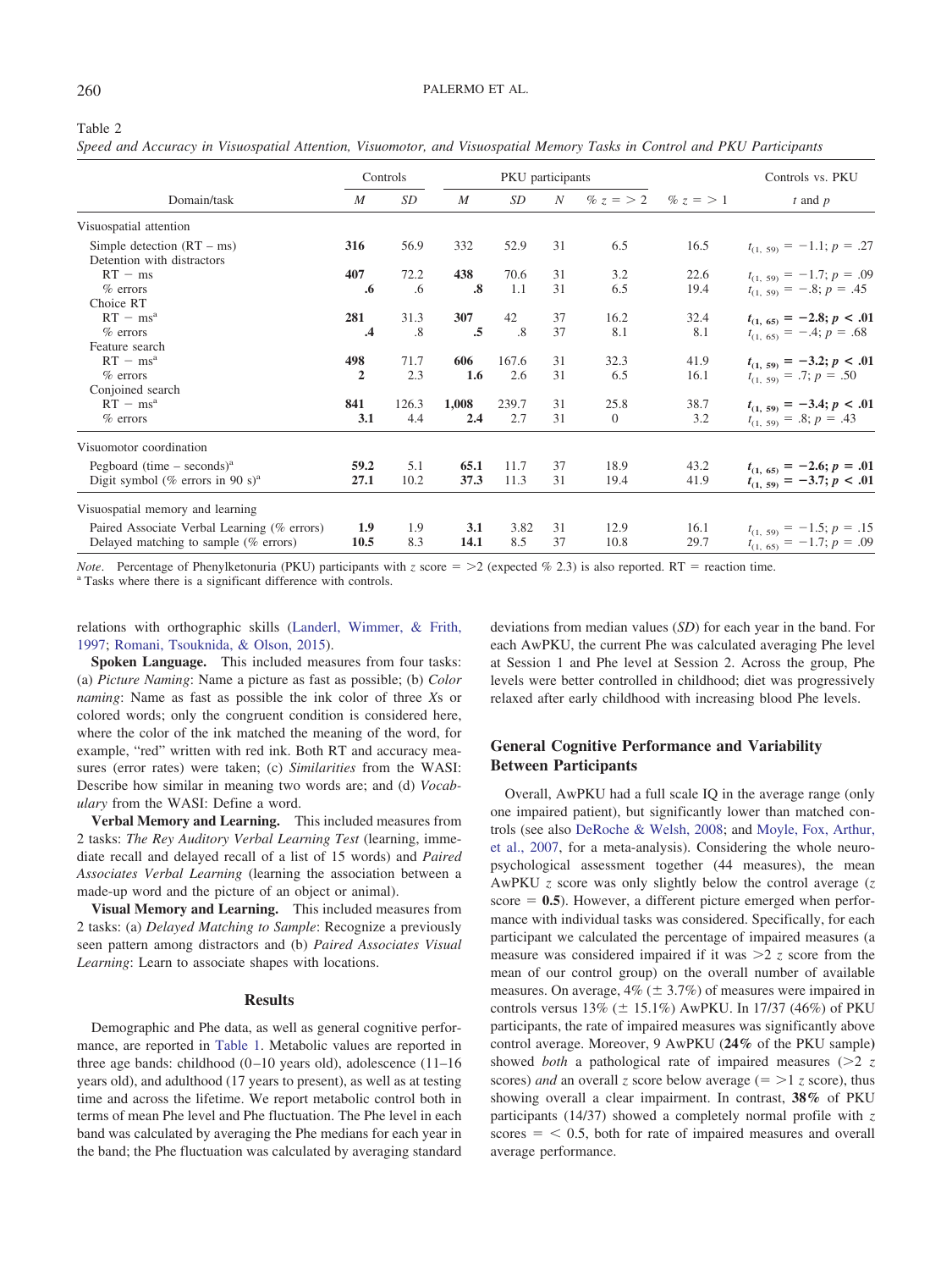#### <span id="page-5-0"></span>Table 2

*Speed and Accuracy in Visuospatial Attention, Visuomotor, and Visuospatial Memory Tasks in Control and PKU Participants*

|                                                            | Controls       |       |                   | PKU participants |                  |              |           | Controls vs. PKU              |
|------------------------------------------------------------|----------------|-------|-------------------|------------------|------------------|--------------|-----------|-------------------------------|
| Domain/task                                                | M              | SD    | M                 | SD               | $\boldsymbol{N}$ | % $z = 2$    | % $z = 1$ | $t$ and $p$                   |
| Visuospatial attention                                     |                |       |                   |                  |                  |              |           |                               |
| Simple detection $(RT - ms)$<br>Detention with distractors | 316            | 56.9  | 332               | 52.9             | 31               | 6.5          | 16.5      | $t_{(1, 59)} = -1.1; p = .27$ |
| $RT - ms$                                                  | 407            | 72.2  | 438               | 70.6             | 31               | 3.2          | 22.6      | $t_{(1, 59)} = -1.7; p = .09$ |
| $%$ errors                                                 | .6             | .6    | $\boldsymbol{.8}$ | 1.1              | 31               | 6.5          | 19.4      | $t_{(1, 59)} = -.8; p = .45$  |
| Choice RT                                                  |                |       |                   |                  |                  |              |           |                               |
| $RT - ms^a$                                                | 281            | 31.3  | 307               | 42               | 37               | 16.2         | 32.4      | $t_{(1, 65)} = -2.8; p < .01$ |
| $%$ errors                                                 | $\cdot$ 4      | .8    | .5                | .8               | 37               | 8.1          | 8.1       | $t_{(1, 65)} = -.4; p = .68$  |
| Feature search                                             |                |       |                   |                  |                  |              |           |                               |
| $RT - ms^a$                                                | 498            | 71.7  | 606               | 167.6            | 31               | 32.3         | 41.9      | $t_{(1, 59)} = -3.2; p < .01$ |
| $%$ errors                                                 | $\overline{2}$ | 2.3   | 1.6               | 2.6              | 31               | 6.5          | 16.1      | $t_{(1, 59)} = .7; p = .50$   |
| Conjoined search                                           |                |       |                   |                  |                  |              |           |                               |
| $RT - ms^a$                                                | 841            | 126.3 | 1,008             | 239.7            | 31               | 25.8         | 38.7      | $t_{(1, 59)} = -3.4; p < .01$ |
| $%$ errors                                                 | 3.1            | 4.4   | 2.4               | 2.7              | 31               | $\mathbf{0}$ | 3.2       | $t_{(1, 59)} = .8; p = .43$   |
| Visuomotor coordination                                    |                |       |                   |                  |                  |              |           |                               |
| Pegboard (time $-$ seconds) <sup>a</sup>                   | 59.2           | 5.1   | 65.1              | 11.7             | 37               | 18.9         | 43.2      | $t_{(1, 65)} = -2.6; p = .01$ |
| Digit symbol (% errors in 90 s) <sup>a</sup>               | 27.1           | 10.2  | 37.3              | 11.3             | 31               | 19.4         | 41.9      | $t_{(1, 59)} = -3.7; p < .01$ |
| Visuospatial memory and learning                           |                |       |                   |                  |                  |              |           |                               |
| Paired Associate Verbal Learning (% errors)                | 1.9            | 1.9   | 3.1               | 3.82             | 31               | 12.9         | 16.1      | $t_{(1, 59)} = -1.5; p = .15$ |
| Delayed matching to sample $(\%$ errors)                   | 10.5           | 8.3   | 14.1              | 8.5              | 37               | 10.8         | 29.7      | $t_{(1, 65)} = -1.7; p = .09$ |

*Note*. Percentage of Phenylketonuria (PKU) participants with *z* score = >2 (expected % 2.3) is also reported. RT = reaction time.  $a^a$  Tasks where there is a significant difference with controls.

## relations with orthographic skills [\(Landerl, Wimmer, & Frith,](#page-11-22) [1997;](#page-11-22) [Romani, Tsouknida, & Olson, 2015\)](#page-11-23).

**Spoken Language.** This included measures from four tasks: (a) *Picture Naming*: Name a picture as fast as possible; (b) *Color naming*: Name as fast as possible the ink color of three *X*s or colored words; only the congruent condition is considered here, where the color of the ink matched the meaning of the word, for example, "red" written with red ink. Both RT and accuracy measures (error rates) were taken; (c) *Similarities* from the WASI: Describe how similar in meaning two words are; and (d) *Vocabulary* from the WASI: Define a word.

**Verbal Memory and Learning.** This included measures from 2 tasks: *The Rey Auditory Verbal Learning Test* (learning, immediate recall and delayed recall of a list of 15 words) and *Paired Associates Verbal Learning* (learning the association between a made-up word and the picture of an object or animal).

**Visual Memory and Learning.** This included measures from 2 tasks: (a) *Delayed Matching to Sample*: Recognize a previously seen pattern among distractors and (b) *Paired Associates Visual Learning*: Learn to associate shapes with locations.

## **Results**

Demographic and Phe data, as well as general cognitive performance, are reported in [Table 1.](#page-4-0) Metabolic values are reported in three age bands: childhood  $(0-10$  years old), adolescence  $(11-16)$ years old), and adulthood (17 years to present), as well as at testing time and across the lifetime. We report metabolic control both in terms of mean Phe level and Phe fluctuation. The Phe level in each band was calculated by averaging the Phe medians for each year in the band; the Phe fluctuation was calculated by averaging standard

deviations from median values (*SD*) for each year in the band. For each AwPKU, the current Phe was calculated averaging Phe level at Session 1 and Phe level at Session 2. Across the group, Phe levels were better controlled in childhood; diet was progressively relaxed after early childhood with increasing blood Phe levels.

## **General Cognitive Performance and Variability Between Participants**

Overall, AwPKU had a full scale IQ in the average range (only one impaired patient), but significantly lower than matched controls (see also [DeRoche & Welsh, 2008;](#page-11-3) and [Moyle, Fox, Arthur,](#page-11-2) [et al., 2007,](#page-11-2) for a meta-analysis). Considering the whole neuropsychological assessment together (44 measures), the mean AwPKU *z* score was only slightly below the control average (*z*  $score = 0.5$ ). However, a different picture emerged when performance with individual tasks was considered. Specifically, for each participant we calculated the percentage of impaired measures (a measure was considered impaired if it was 2 *z* score from the mean of our control group) on the overall number of available measures. On average,  $4\%$  ( $\pm$  3.7%) of measures were impaired in controls versus  $13\%$  ( $\pm 15.1\%$ ) AwPKU. In 17/37 (46%) of PKU participants, the rate of impaired measures was significantly above control average. Moreover, 9 AwPKU (**24%** of the PKU sample**)** showed *both* a pathological rate of impaired measures  $(22 z)$ scores) *and* an overall *z* score below average ( $=$  >1 *z* score), thus showing overall a clear impairment. In contrast, **38%** of PKU participants (14/37) showed a completely normal profile with *z*  $\text{scores} = \langle 0.5, \text{ both for rate of impaired measures and overall} \rangle$ average performance.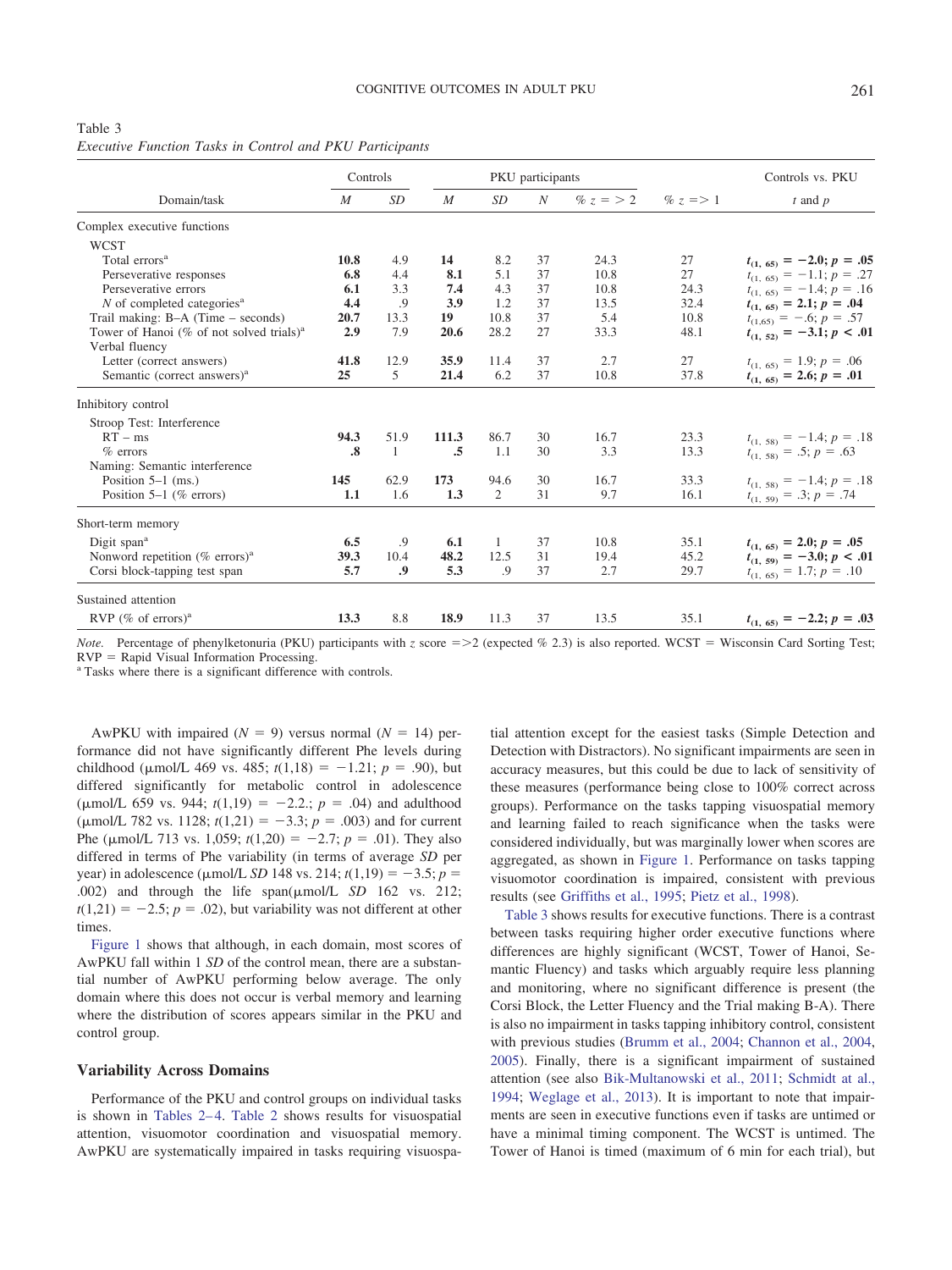<span id="page-6-0"></span>

| Table 3                                                         |  |  |  |  |
|-----------------------------------------------------------------|--|--|--|--|
| <i>Executive Function Tasks in Control and PKU Participants</i> |  |  |  |  |

|                                                      |                   | PKU participants<br>Controls |       |           |                  |           | Controls vs. PKU |                               |  |
|------------------------------------------------------|-------------------|------------------------------|-------|-----------|------------------|-----------|------------------|-------------------------------|--|
| Domain/task                                          | $\boldsymbol{M}$  | <b>SD</b>                    | M     | <b>SD</b> | $\boldsymbol{N}$ | % $z = 2$ | $\% z = 1$       | $t$ and $p$                   |  |
| Complex executive functions                          |                   |                              |       |           |                  |           |                  |                               |  |
| <b>WCST</b>                                          |                   |                              |       |           |                  |           |                  |                               |  |
| Total errors <sup>a</sup>                            | 10.8              | 4.9                          | 14    | 8.2       | 37               | 24.3      | 27               | $t_{(1, 65)} = -2.0; p = .05$ |  |
| Perseverative responses                              | 6.8               | 4.4                          | 8.1   | 5.1       | 37               | 10.8      | 27               | $t_{(1, 65)} = -1.1; p = .27$ |  |
| Perseverative errors                                 | 6.1               | 3.3                          | 7.4   | 4.3       | 37               | 10.8      | 24.3             | $t_{(1, 65)} = -1.4; p = .16$ |  |
| N of completed categories <sup>a</sup>               | 4.4               | .9                           | 3.9   | 1.2       | 37               | 13.5      | 32.4             | $t_{(1, 65)} = 2.1; p = .04$  |  |
| Trail making: $B-A$ (Time – seconds)                 | 20.7              | 13.3                         | 19    | 10.8      | 37               | 5.4       | 10.8             | $t_{(1,65)} = -.6; p = .57$   |  |
| Tower of Hanoi (% of not solved trials) <sup>a</sup> | 2.9               | 7.9                          | 20.6  | 28.2      | 27               | 33.3      | 48.1             | $t_{(1, 52)} = -3.1; p < .01$ |  |
| Verbal fluency                                       |                   |                              |       |           |                  |           |                  |                               |  |
| Letter (correct answers)                             | 41.8              | 12.9                         | 35.9  | 11.4      | 37               | 2.7       | 27               | $t_{(1, 65)} = 1.9; p = .06$  |  |
| Semantic (correct answers) <sup>a</sup>              | 25                | 5                            | 21.4  | 6.2       | 37               | 10.8      | 37.8             | $t_{(1, 65)} = 2.6; p = .01$  |  |
| Inhibitory control                                   |                   |                              |       |           |                  |           |                  |                               |  |
| Stroop Test: Interference                            |                   |                              |       |           |                  |           |                  |                               |  |
| $RT - ms$                                            | 94.3              | 51.9                         | 111.3 | 86.7      | 30               | 16.7      | 23.3             | $t_{(1, 58)} = -1.4; p = .18$ |  |
| $%$ errors                                           | $\boldsymbol{.8}$ | 1                            | .5    | 1.1       | 30               | 3.3       | 13.3             | $t_{(1, 58)} = .5; p = .63$   |  |
| Naming: Semantic interference                        |                   |                              |       |           |                  |           |                  |                               |  |
| Position $5-1$ (ms.)                                 | 145               | 62.9                         | 173   | 94.6      | 30               | 16.7      | 33.3             | $t_{(1, 58)} = -1.4; p = .18$ |  |
| Position $5-1$ (% errors)                            | 1.1               | 1.6                          | 1.3   | 2         | 31               | 9.7       | 16.1             | $t_{(1, 59)} = .3; p = .74$   |  |
| Short-term memory                                    |                   |                              |       |           |                  |           |                  |                               |  |
| Digit span <sup>a</sup>                              | 6.5               | .9                           | 6.1   | 1         | 37               | 10.8      | 35.1             | $t_{(1, 65)} = 2.0; p = .05$  |  |
| Nonword repetition (% errors) <sup>a</sup>           | 39.3              | 10.4                         | 48.2  | 12.5      | 31               | 19.4      | 45.2             | $t_{(1, 59)} = -3.0; p < .01$ |  |
| Corsi block-tapping test span                        | 5.7               | .9                           | 5.3   | .9        | 37               | 2.7       | 29.7             | $t_{(1, 65)} = 1.7; p = .10$  |  |
| Sustained attention                                  |                   |                              |       |           |                  |           |                  |                               |  |
|                                                      |                   |                              |       |           | 37               |           | 35.1             |                               |  |
| RVP (% of errors) <sup>a</sup>                       | 13.3              | 8.8                          | 18.9  | 11.3      |                  | 13.5      |                  | $t_{(1, 65)} = -2.2; p = .03$ |  |

Note. Percentage of phenylketonuria (PKU) participants with *z* score = > 2 (expected % 2.3) is also reported. WCST = Wisconsin Card Sorting Test;  $RVP =$  Rapid Visual Information Processing.

<sup>a</sup> Tasks where there is a significant difference with controls.

AwPKU with impaired  $(N = 9)$  versus normal  $(N = 14)$  performance did not have significantly different Phe levels during childhood ( $\mu$ mol/L 469 vs. 485;  $t(1,18) = -1.21$ ;  $p = .90$ ), but differed significantly for metabolic control in adolescence  $(\mu \text{mol/L } 659 \text{ vs. } 944; t(1,19) = -2.2.; p = .04)$  and adulthood  $(\mu \text{mol/L } 782 \text{ vs. } 1128; t(1,21) = -3.3; p = .003)$  and for current Phe ( $\mu$ mol/L 713 vs. 1,059;  $t(1,20) = -2.7$ ;  $p = .01$ ). They also differed in terms of Phe variability (in terms of average *SD* per year) in adolescence ( $\mu$ mol/L *SD* 148 vs. 214;  $t(1,19) = -3.5; p =$ .002) and through the life  $span(\mu mol/L \ SD \ 162 \ vs. \ 212)$ ;  $t(1,21) = -2.5; p = .02$ , but variability was not different at other times.

[Figure 1](#page-7-0) shows that although, in each domain, most scores of AwPKU fall within 1 *SD* of the control mean, there are a substantial number of AwPKU performing below average. The only domain where this does not occur is verbal memory and learning where the distribution of scores appears similar in the PKU and control group.

#### **Variability Across Domains**

Performance of the PKU and control groups on individual tasks is shown in Tables 2– 4. [Table 2](#page-5-0) shows results for visuospatial attention, visuomotor coordination and visuospatial memory. AwPKU are systematically impaired in tasks requiring visuospa-

tial attention except for the easiest tasks (Simple Detection and Detection with Distractors). No significant impairments are seen in accuracy measures, but this could be due to lack of sensitivity of these measures (performance being close to 100% correct across groups). Performance on the tasks tapping visuospatial memory and learning failed to reach significance when the tasks were considered individually, but was marginally lower when scores are aggregated, as shown in [Figure 1.](#page-7-0) Performance on tasks tapping visuomotor coordination is impaired, consistent with previous results (see [Griffiths et al., 1995;](#page-11-18) [Pietz et al., 1998\)](#page-11-19).

[Table 3](#page-6-0) shows results for executive functions. There is a contrast between tasks requiring higher order executive functions where differences are highly significant (WCST, Tower of Hanoi, Semantic Fluency) and tasks which arguably require less planning and monitoring, where no significant difference is present (the Corsi Block, the Letter Fluency and the Trial making B-A). There is also no impairment in tasks tapping inhibitory control, consistent with previous studies [\(Brumm et al., 2004;](#page-10-1) [Channon et al., 2004,](#page-10-7) [2005\)](#page-11-16). Finally, there is a significant impairment of sustained attention (see also [Bik-Multanowski et al., 2011;](#page-10-10) [Schmidt at al.,](#page-12-6) [1994;](#page-12-6) [Weglage et al., 2013\)](#page-12-7). It is important to note that impairments are seen in executive functions even if tasks are untimed or have a minimal timing component. The WCST is untimed. The Tower of Hanoi is timed (maximum of 6 min for each trial), but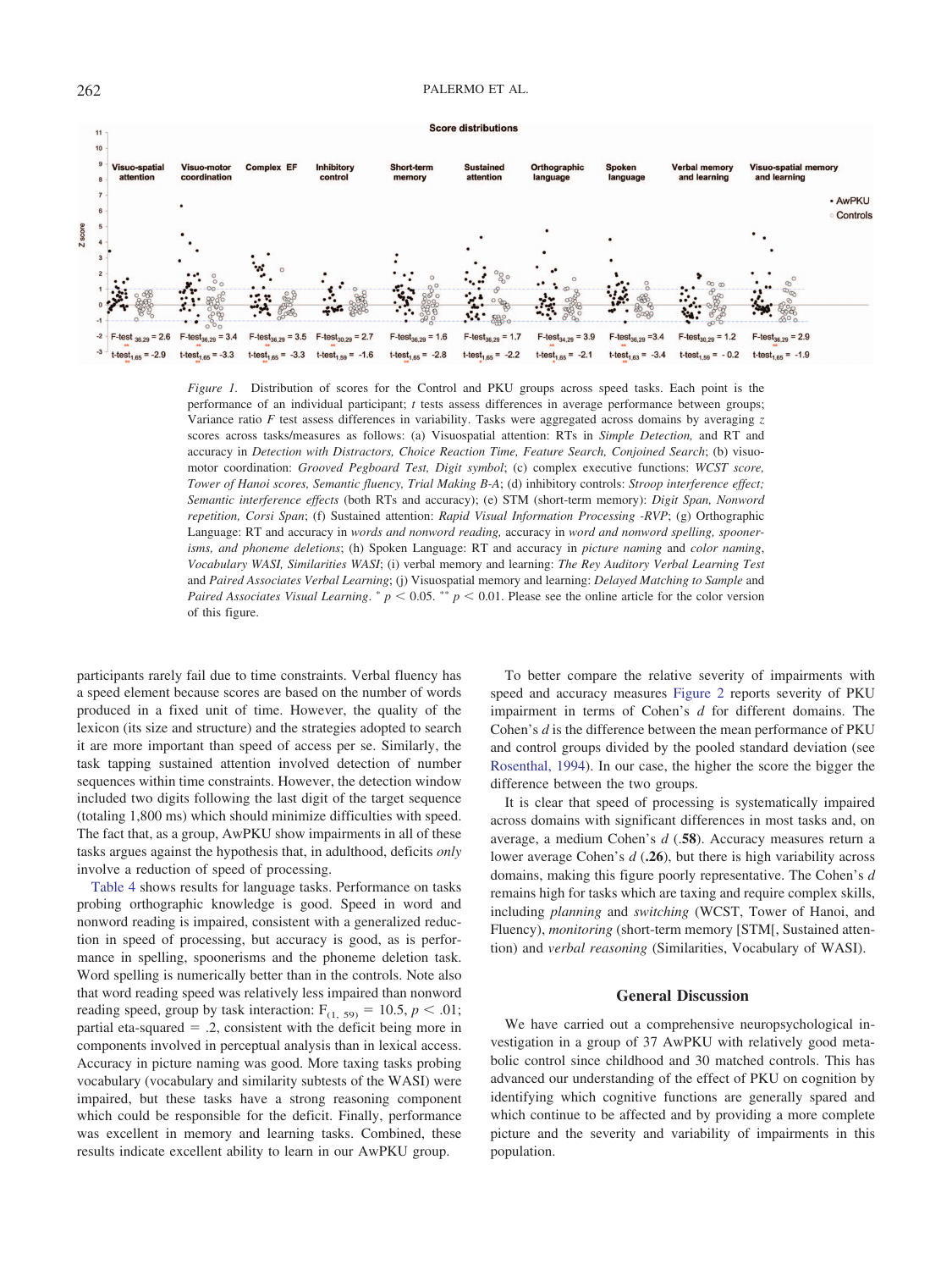#### 262 PALERMO ET AL.



<span id="page-7-0"></span>*Figure 1.* Distribution of scores for the Control and PKU groups across speed tasks. Each point is the performance of an individual participant; *t* tests assess differences in average performance between groups; Variance ratio *F* test assess differences in variability. Tasks were aggregated across domains by averaging *z* scores across tasks/measures as follows: (a) Visuospatial attention: RTs in *Simple Detection,* and RT and accuracy in *Detection with Distractors, Choice Reaction Time, Feature Search, Conjoined Search*; (b) visuomotor coordination: *Grooved Pegboard Test, Digit symbol*; (c) complex executive functions: *WCST score, Tower of Hanoi scores, Semantic fluency, Trial Making B-A*; (d) inhibitory controls: *Stroop interference effect; Semantic interference effects* (both RTs and accuracy); (e) STM (short-term memory): *Digit Span, Nonword repetition, Corsi Span*; (f) Sustained attention: *Rapid Visual Information Processing -RVP*; (g) Orthographic Language: RT and accuracy in *words and nonword reading,* accuracy in *word and nonword spelling, spoonerisms, and phoneme deletions*; (h) Spoken Language: RT and accuracy in *picture naming* and *color naming*, *Vocabulary WASI, Similarities WASI*; (i) verbal memory and learning: *The Rey Auditory Verbal Learning Test* and *Paired Associates Verbal Learning*; (j) Visuospatial memory and learning: *Delayed Matching to Sample* and *Paired Associates Visual Learning.*  $p < 0.05$ .  $\sqrt[*]{p} < 0.01$ . Please see the online article for the color version of this figure.

participants rarely fail due to time constraints. Verbal fluency has a speed element because scores are based on the number of words produced in a fixed unit of time. However, the quality of the lexicon (its size and structure) and the strategies adopted to search it are more important than speed of access per se. Similarly, the task tapping sustained attention involved detection of number sequences within time constraints. However, the detection window included two digits following the last digit of the target sequence (totaling 1,800 ms) which should minimize difficulties with speed. The fact that, as a group, AwPKU show impairments in all of these tasks argues against the hypothesis that, in adulthood, deficits *only* involve a reduction of speed of processing.

[Table 4](#page-8-0) shows results for language tasks. Performance on tasks probing orthographic knowledge is good. Speed in word and nonword reading is impaired, consistent with a generalized reduction in speed of processing, but accuracy is good, as is performance in spelling, spoonerisms and the phoneme deletion task. Word spelling is numerically better than in the controls. Note also that word reading speed was relatively less impaired than nonword reading speed, group by task interaction:  $F_{(1, 59)} = 10.5, p < .01;$ partial eta-squared  $= .2$ , consistent with the deficit being more in components involved in perceptual analysis than in lexical access. Accuracy in picture naming was good. More taxing tasks probing vocabulary (vocabulary and similarity subtests of the WASI) were impaired, but these tasks have a strong reasoning component which could be responsible for the deficit. Finally, performance was excellent in memory and learning tasks. Combined, these results indicate excellent ability to learn in our AwPKU group.

To better compare the relative severity of impairments with speed and accuracy measures [Figure 2](#page-9-0) reports severity of PKU impairment in terms of Cohen's *d* for different domains. The Cohen's *d* is the difference between the mean performance of PKU and control groups divided by the pooled standard deviation (see [Rosenthal, 1994\)](#page-12-13). In our case, the higher the score the bigger the difference between the two groups.

It is clear that speed of processing is systematically impaired across domains with significant differences in most tasks and, on average, a medium Cohen's *d* (.**58**). Accuracy measures return a lower average Cohen's *d* (**.26**), but there is high variability across domains, making this figure poorly representative. The Cohen's *d* remains high for tasks which are taxing and require complex skills, including *planning* and *switching* (WCST, Tower of Hanoi, and Fluency), *monitoring* (short-term memory [STM[, Sustained attention) and *verbal reasoning* (Similarities, Vocabulary of WASI).

## **General Discussion**

We have carried out a comprehensive neuropsychological investigation in a group of 37 AwPKU with relatively good metabolic control since childhood and 30 matched controls. This has advanced our understanding of the effect of PKU on cognition by identifying which cognitive functions are generally spared and which continue to be affected and by providing a more complete picture and the severity and variability of impairments in this population.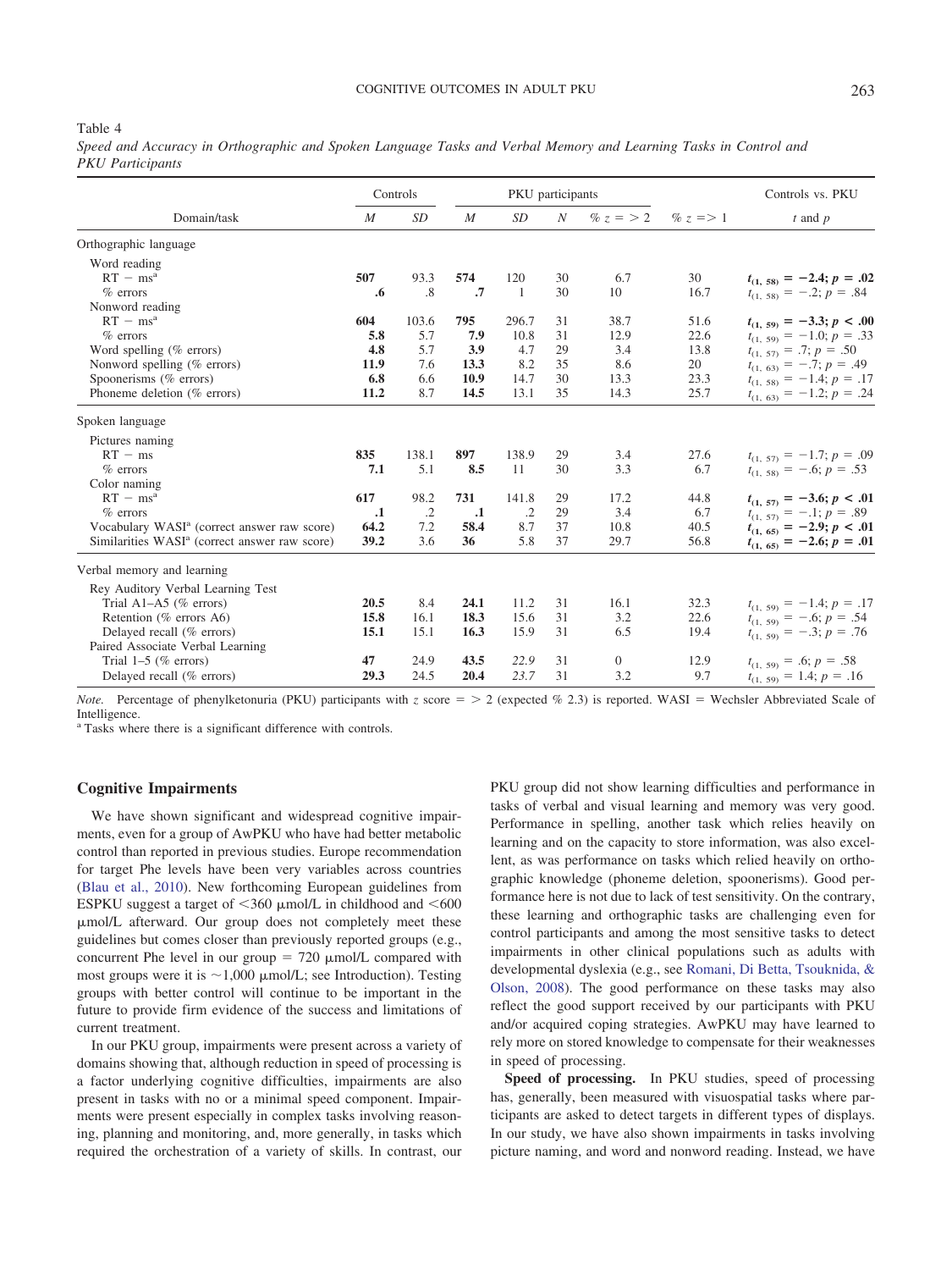#### COGNITIVE OUTCOMES IN ADULT PKU 263

#### <span id="page-8-0"></span>Table 4

*Speed and Accuracy in Orthographic and Spoken Language Tasks and Verbal Memory and Learning Tasks in Control and PKU Participants*

|                                                           | M       |            | PKU participants<br>Controls |                |                  |                |            | Controls vs. PKU              |  |
|-----------------------------------------------------------|---------|------------|------------------------------|----------------|------------------|----------------|------------|-------------------------------|--|
| Domain/task                                               |         | SD         | $\boldsymbol{M}$             | SD <sub></sub> | $\boldsymbol{N}$ | % $z = 2$      | $\% z = 1$ | $t$ and $p$                   |  |
| Orthographic language                                     |         |            |                              |                |                  |                |            |                               |  |
| Word reading                                              |         |            |                              |                |                  |                |            |                               |  |
| $RT - ms^a$                                               | 507     | 93.3       | 574                          | 120            | 30               | 6.7            | 30         | $t_{(1, 58)} = -2.4; p = .02$ |  |
| $%$ errors                                                | .6      | .8         | .7                           | $\overline{1}$ | 30               | 10             | 16.7       | $t_{(1, 58)} = -.2; p = .84$  |  |
| Nonword reading                                           |         |            |                              |                |                  |                |            |                               |  |
| $RT - ms^a$                                               | 604     | 103.6      | 795                          | 296.7          | 31               | 38.7           | 51.6       | $t_{(1, 59)} = -3.3; p < .00$ |  |
| $%$ errors                                                | 5.8     | 5.7        | 7.9                          | 10.8           | 31               | 12.9           | 22.6       | $t_{(1, 59)} = -1.0; p = .33$ |  |
| Word spelling $(\%$ errors)                               | 4.8     | 5.7        | 3.9                          | 4.7            | 29               | 3.4            | 13.8       | $t_{(1, 57)} = .7; p = .50$   |  |
| Nonword spelling (% errors)                               | 11.9    | 7.6        | 13.3                         | 8.2            | 35               | 8.6            | 20         | $t_{(1, 63)} = -.7; p = .49$  |  |
| Spoonerisms (% errors)                                    | 6.8     | 6.6        | 10.9                         | 14.7           | 30               | 13.3           | 23.3       | $t_{(1, 58)} = -1.4; p = .17$ |  |
| Phoneme deletion (% errors)                               | 11.2    | 8.7        | 14.5                         | 13.1           | 35               | 14.3           | 25.7       | $t_{(1, 63)} = -1.2; p = .24$ |  |
| Spoken language                                           |         |            |                              |                |                  |                |            |                               |  |
| Pictures naming                                           |         |            |                              |                |                  |                |            |                               |  |
| $RT - ms$                                                 | 835     | 138.1      | 897                          | 138.9          | 29               | 3.4            | 27.6       | $t_{(1, 57)} = -1.7; p = .09$ |  |
| $%$ errors                                                | 7.1     | 5.1        | 8.5                          | 11             | 30               | 3.3            | 6.7        | $t_{(1, 58)} = -.6; p = .53$  |  |
| Color naming                                              |         |            |                              |                |                  |                |            |                               |  |
| $RT - msa$                                                | 617     | 98.2       | 731                          | 141.8          | 29               | 17.2           | 44.8       | $t_{(1, 57)} = -3.6; p < .01$ |  |
| $%$ errors                                                | $\cdot$ | $\cdot$ .2 | $\cdot$                      | $\cdot$        | 29               | 3.4            | 6.7        | $t_{(1, 57)} = -.1; p = .89$  |  |
| Vocabulary WASI <sup>a</sup> (correct answer raw score)   | 64.2    | 7.2        | 58.4                         | 8.7            | 37               | 10.8           | 40.5       | $t_{(1, 65)} = -2.9; p < .01$ |  |
| Similarities WASI <sup>a</sup> (correct answer raw score) | 39.2    | 3.6        | 36                           | 5.8            | 37               | 29.7           | 56.8       | $t_{(1, 65)} = -2.6; p = .01$ |  |
| Verbal memory and learning                                |         |            |                              |                |                  |                |            |                               |  |
| Rey Auditory Verbal Learning Test                         |         |            |                              |                |                  |                |            |                               |  |
| Trial $A1-A5$ (% errors)                                  | 20.5    | 8.4        | 24.1                         | 11.2           | 31               | 16.1           | 32.3       | $t_{(1, 59)} = -1.4; p = .17$ |  |
| Retention (% errors A6)                                   | 15.8    | 16.1       | 18.3                         | 15.6           | 31               | 3.2            | 22.6       | $t_{(1, 59)} = -.6; p = .54$  |  |
| Delayed recall (% errors)                                 | 15.1    | 15.1       | 16.3                         | 15.9           | 31               | 6.5            | 19.4       | $t_{(1, 59)} = -.3; p = .76$  |  |
| Paired Associate Verbal Learning                          |         |            |                              |                |                  |                |            |                               |  |
| Trial $1-5$ (% errors)                                    | 47      | 24.9       | 43.5                         | 22.9           | 31               | $\overline{0}$ | 12.9       | $t_{(1, 59)} = .6; p = .58$   |  |
| Delayed recall (% errors)                                 | 29.3    | 24.5       | 20.4                         | 23.7           | 31               | 3.2            | 9.7        | $t_{(1, 59)} = 1.4; p = .16$  |  |

*Note.* Percentage of phenylketonuria (PKU) participants with  $z$  score  $z = 2$  (expected  $\%$  2.3) is reported. WASI = Wechsler Abbreviated Scale of Intelligence.

<sup>a</sup> Tasks where there is a significant difference with controls.

## **Cognitive Impairments**

We have shown significant and widespread cognitive impairments, even for a group of AwPKU who have had better metabolic control than reported in previous studies. Europe recommendation for target Phe levels have been very variables across countries [\(Blau et al., 2010\)](#page-10-0). New forthcoming European guidelines from ESPKU suggest a target of  $\leq 360$   $\mu$ mol/L in childhood and  $\leq 600$ mol/L afterward. Our group does not completely meet these guidelines but comes closer than previously reported groups (e.g., concurrent Phe level in our group  $= 720 \mu m o l/L$  compared with most groups were it is  $\sim$ 1,000  $\mu$ mol/L; see Introduction). Testing groups with better control will continue to be important in the future to provide firm evidence of the success and limitations of current treatment.

In our PKU group, impairments were present across a variety of domains showing that, although reduction in speed of processing is a factor underlying cognitive difficulties, impairments are also present in tasks with no or a minimal speed component. Impairments were present especially in complex tasks involving reasoning, planning and monitoring, and, more generally, in tasks which required the orchestration of a variety of skills. In contrast, our PKU group did not show learning difficulties and performance in tasks of verbal and visual learning and memory was very good. Performance in spelling, another task which relies heavily on learning and on the capacity to store information, was also excellent, as was performance on tasks which relied heavily on orthographic knowledge (phoneme deletion, spoonerisms). Good performance here is not due to lack of test sensitivity. On the contrary, these learning and orthographic tasks are challenging even for control participants and among the most sensitive tasks to detect impairments in other clinical populations such as adults with developmental dyslexia (e.g., see [Romani, Di Betta, Tsouknida, &](#page-11-24) [Olson, 2008\)](#page-11-24). The good performance on these tasks may also reflect the good support received by our participants with PKU and/or acquired coping strategies. AwPKU may have learned to rely more on stored knowledge to compensate for their weaknesses in speed of processing.

**Speed of processing.** In PKU studies, speed of processing has, generally, been measured with visuospatial tasks where participants are asked to detect targets in different types of displays. In our study, we have also shown impairments in tasks involving picture naming, and word and nonword reading. Instead, we have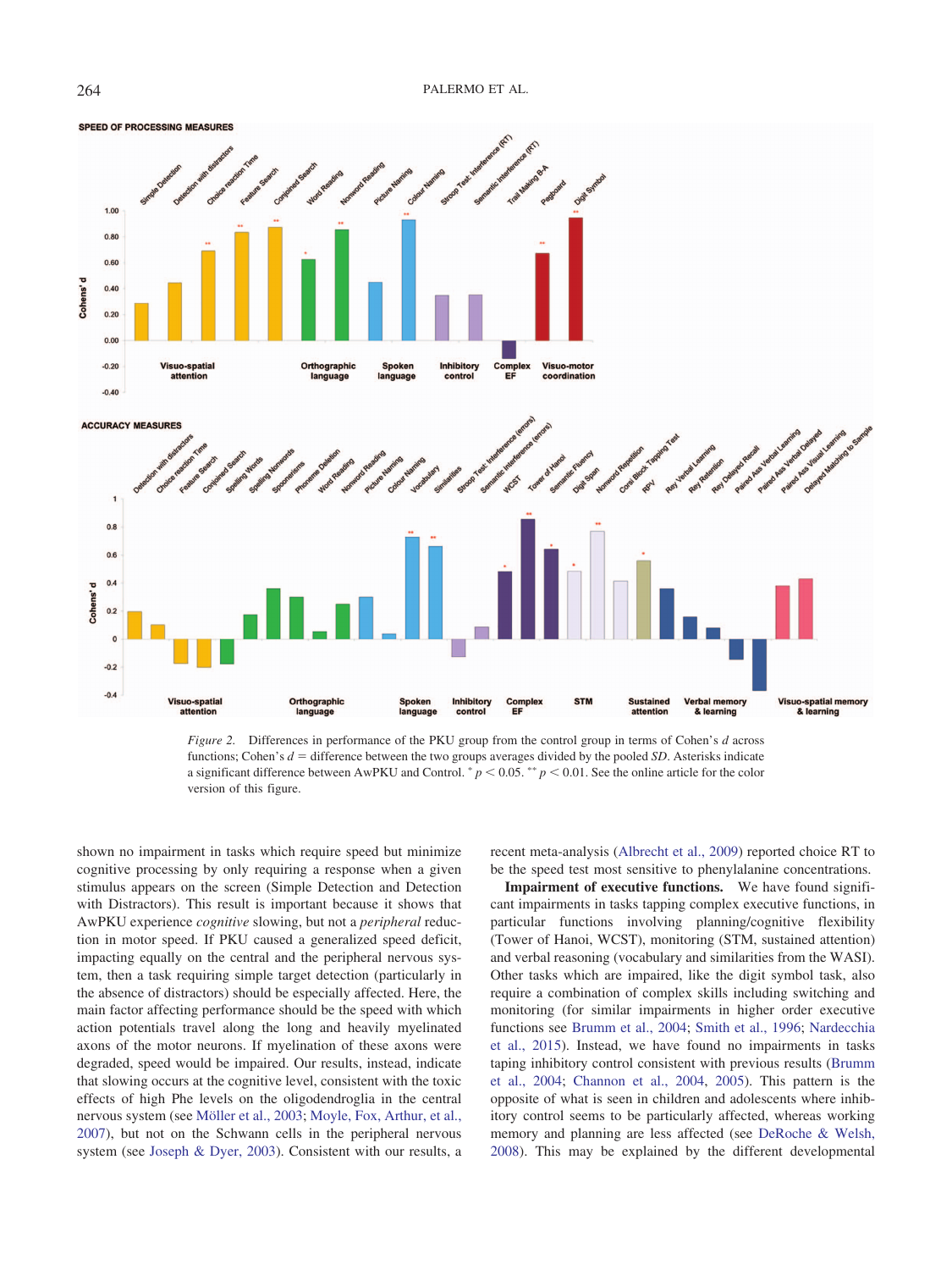

<span id="page-9-0"></span>*Figure 2.* Differences in performance of the PKU group from the control group in terms of Cohen's *d* across functions; Cohen's  $d =$  difference between the two groups averages divided by the pooled *SD*. Asterisks indicate a significant difference between AwPKU and Control.  $^{*}p$  < 0.05.  $^{**}p$  < 0.01. See the online article for the color version of this figure.

shown no impairment in tasks which require speed but minimize cognitive processing by only requiring a response when a given stimulus appears on the screen (Simple Detection and Detection with Distractors). This result is important because it shows that AwPKU experience *cognitive* slowing, but not a *peripheral* reduction in motor speed. If PKU caused a generalized speed deficit, impacting equally on the central and the peripheral nervous system, then a task requiring simple target detection (particularly in the absence of distractors) should be especially affected. Here, the main factor affecting performance should be the speed with which action potentials travel along the long and heavily myelinated axons of the motor neurons. If myelination of these axons were degraded, speed would be impaired. Our results, instead, indicate that slowing occurs at the cognitive level, consistent with the toxic effects of high Phe levels on the oligodendroglia in the central nervous system (see [Möller et al., 2003;](#page-11-25) [Moyle, Fox, Arthur, et al.,](#page-11-2) [2007\)](#page-11-2), but not on the Schwann cells in the peripheral nervous system (see [Joseph & Dyer, 2003\)](#page-11-26). Consistent with our results, a

recent meta-analysis [\(Albrecht et al., 2009\)](#page-10-5) reported choice RT to be the speed test most sensitive to phenylalanine concentrations.

**Impairment of executive functions.** We have found significant impairments in tasks tapping complex executive functions, in particular functions involving planning/cognitive flexibility (Tower of Hanoi, WCST), monitoring (STM, sustained attention) and verbal reasoning (vocabulary and similarities from the WASI). Other tasks which are impaired, like the digit symbol task, also require a combination of complex skills including switching and monitoring (for similar impairments in higher order executive functions see [Brumm et al., 2004;](#page-10-1) [Smith et al., 1996;](#page-12-2) [Nardecchia](#page-11-11) [et al., 2015\)](#page-11-11). Instead, we have found no impairments in tasks taping inhibitory control consistent with previous results [\(Brumm](#page-10-1) [et al., 2004;](#page-10-1) [Channon et al., 2004,](#page-10-7) [2005\)](#page-11-16). This pattern is the opposite of what is seen in children and adolescents where inhibitory control seems to be particularly affected, whereas working memory and planning are less affected (see [DeRoche & Welsh,](#page-11-3) [2008\)](#page-11-3). This may be explained by the different developmental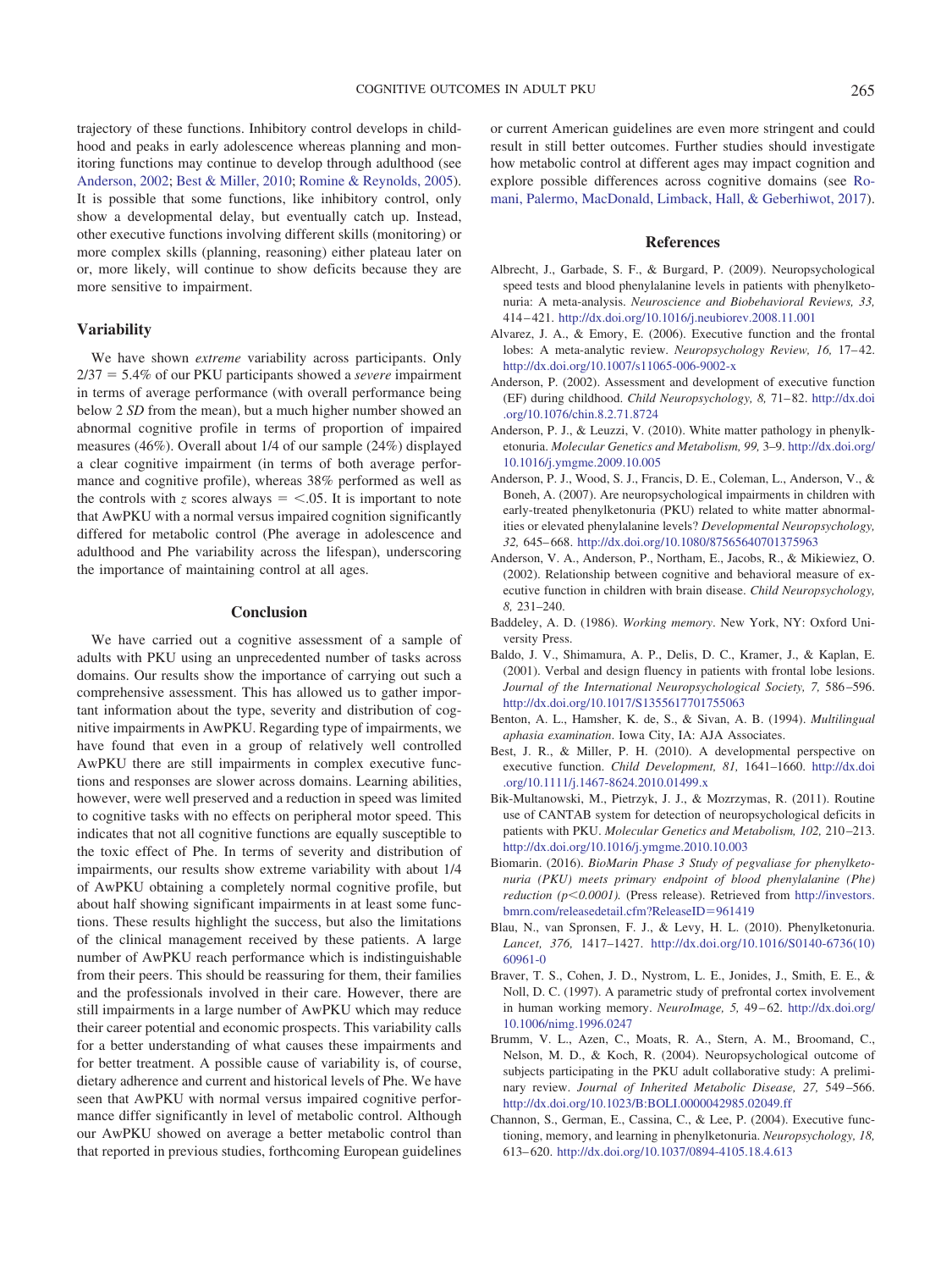trajectory of these functions. Inhibitory control develops in childhood and peaks in early adolescence whereas planning and monitoring functions may continue to develop through adulthood (see [Anderson, 2002;](#page-10-12) [Best & Miller, 2010;](#page-10-13) [Romine & Reynolds, 2005\)](#page-11-27). It is possible that some functions, like inhibitory control, only show a developmental delay, but eventually catch up. Instead, other executive functions involving different skills (monitoring) or more complex skills (planning, reasoning) either plateau later on or, more likely, will continue to show deficits because they are more sensitive to impairment.

#### **Variability**

We have shown *extreme* variability across participants. Only 2/37 - 5.4% of our PKU participants showed a *severe* impairment in terms of average performance (with overall performance being below 2 *SD* from the mean), but a much higher number showed an abnormal cognitive profile in terms of proportion of impaired measures (46%). Overall about 1/4 of our sample (24%) displayed a clear cognitive impairment (in terms of both average performance and cognitive profile), whereas 38% performed as well as the controls with *z* scores always  $=$  <.05. It is important to note that AwPKU with a normal versus impaired cognition significantly differed for metabolic control (Phe average in adolescence and adulthood and Phe variability across the lifespan), underscoring the importance of maintaining control at all ages.

#### **Conclusion**

We have carried out a cognitive assessment of a sample of adults with PKU using an unprecedented number of tasks across domains. Our results show the importance of carrying out such a comprehensive assessment. This has allowed us to gather important information about the type, severity and distribution of cognitive impairments in AwPKU. Regarding type of impairments, we have found that even in a group of relatively well controlled AwPKU there are still impairments in complex executive functions and responses are slower across domains. Learning abilities, however, were well preserved and a reduction in speed was limited to cognitive tasks with no effects on peripheral motor speed. This indicates that not all cognitive functions are equally susceptible to the toxic effect of Phe. In terms of severity and distribution of impairments, our results show extreme variability with about 1/4 of AwPKU obtaining a completely normal cognitive profile, but about half showing significant impairments in at least some functions. These results highlight the success, but also the limitations of the clinical management received by these patients. A large number of AwPKU reach performance which is indistinguishable from their peers. This should be reassuring for them, their families and the professionals involved in their care. However, there are still impairments in a large number of AwPKU which may reduce their career potential and economic prospects. This variability calls for a better understanding of what causes these impairments and for better treatment. A possible cause of variability is, of course, dietary adherence and current and historical levels of Phe. We have seen that AwPKU with normal versus impaired cognitive performance differ significantly in level of metabolic control. Although our AwPKU showed on average a better metabolic control than that reported in previous studies, forthcoming European guidelines or current American guidelines are even more stringent and could result in still better outcomes. Further studies should investigate how metabolic control at different ages may impact cognition and explore possible differences across cognitive domains (see [Ro](#page-11-28)[mani, Palermo, MacDonald, Limback, Hall, & Geberhiwot, 2017\)](#page-11-28).

#### **References**

- <span id="page-10-5"></span>Albrecht, J., Garbade, S. F., & Burgard, P. (2009). Neuropsychological speed tests and blood phenylalanine levels in patients with phenylketonuria: A meta-analysis. *Neuroscience and Biobehavioral Reviews, 33,* 414 – 421. <http://dx.doi.org/10.1016/j.neubiorev.2008.11.001>
- <span id="page-10-6"></span>Alvarez, J. A., & Emory, E. (2006). Executive function and the frontal lobes: A meta-analytic review. *Neuropsychology Review, 16, 17-42.* <http://dx.doi.org/10.1007/s11065-006-9002-x>
- <span id="page-10-12"></span>Anderson, P. (2002). Assessment and development of executive function (EF) during childhood. *Child Neuropsychology, 8,* 71– 82. [http://dx.doi](http://dx.doi.org/10.1076/chin.8.2.71.8724) [.org/10.1076/chin.8.2.71.8724](http://dx.doi.org/10.1076/chin.8.2.71.8724)
- <span id="page-10-2"></span>Anderson, P. J., & Leuzzi, V. (2010). White matter pathology in phenylketonuria. *Molecular Genetics and Metabolism, 99,* 3–9. [http://dx.doi.org/](http://dx.doi.org/10.1016/j.ymgme.2009.10.005) [10.1016/j.ymgme.2009.10.005](http://dx.doi.org/10.1016/j.ymgme.2009.10.005)
- <span id="page-10-3"></span>Anderson, P. J., Wood, S. J., Francis, D. E., Coleman, L., Anderson, V., & Boneh, A. (2007). Are neuropsychological impairments in children with early-treated phenylketonuria (PKU) related to white matter abnormalities or elevated phenylalanine levels? *Developmental Neuropsychology, 32,* 645– 668. <http://dx.doi.org/10.1080/87565640701375963>
- Anderson, V. A., Anderson, P., Northam, E., Jacobs, R., & Mikiewiez, O. (2002). Relationship between cognitive and behavioral measure of executive function in children with brain disease. *Child Neuropsychology, 8,* 231–240.
- <span id="page-10-9"></span>Baddeley, A. D. (1986). *Working memory*. New York, NY: Oxford University Press.
- <span id="page-10-8"></span>Baldo, J. V., Shimamura, A. P., Delis, D. C., Kramer, J., & Kaplan, E. (2001). Verbal and design fluency in patients with frontal lobe lesions. *Journal of the International Neuropsychological Society, 7,* 586 –596. <http://dx.doi.org/10.1017/S1355617701755063>
- Benton, A. L., Hamsher, K. de, S., & Sivan, A. B. (1994). *Multilingual aphasia examination*. Iowa City, IA: AJA Associates.
- <span id="page-10-13"></span>Best, J. R., & Miller, P. H. (2010). A developmental perspective on executive function. *Child Development, 81,* 1641–1660. [http://dx.doi](http://dx.doi.org/10.1111/j.1467-8624.2010.01499.x) [.org/10.1111/j.1467-8624.2010.01499.x](http://dx.doi.org/10.1111/j.1467-8624.2010.01499.x)
- <span id="page-10-10"></span>Bik-Multanowski, M., Pietrzyk, J. J., & Mozrzymas, R. (2011). Routine use of CANTAB system for detection of neuropsychological deficits in patients with PKU. *Molecular Genetics and Metabolism*, 102, 210-213. <http://dx.doi.org/10.1016/j.ymgme.2010.10.003>
- <span id="page-10-4"></span>Biomarin. (2016). *BioMarin Phase 3 Study of pegvaliase for phenylketonuria (PKU) meets primary endpoint of blood phenylalanine (Phe) reduction (p0.0001).* (Press release). Retrieved from [http://investors.](http://investors.bmrn.com/releasedetail.cfm?ReleaseID=961419) [bmrn.com/releasedetail.cfm?ReleaseID](http://investors.bmrn.com/releasedetail.cfm?ReleaseID=961419)-961419
- <span id="page-10-0"></span>Blau, N., van Spronsen, F. J., & Levy, H. L. (2010). Phenylketonuria. *Lancet, 376,* 1417–1427. [http://dx.doi.org/10.1016/S0140-6736\(10\)](http://dx.doi.org/10.1016/S0140-6736%2810%2960961-0) [60961-0](http://dx.doi.org/10.1016/S0140-6736%2810%2960961-0)
- <span id="page-10-11"></span>Braver, T. S., Cohen, J. D., Nystrom, L. E., Jonides, J., Smith, E. E., & Noll, D. C. (1997). A parametric study of prefrontal cortex involvement in human working memory. *NeuroImage*, 5, 49-62. [http://dx.doi.org/](http://dx.doi.org/10.1006/nimg.1996.0247) [10.1006/nimg.1996.0247](http://dx.doi.org/10.1006/nimg.1996.0247)
- <span id="page-10-1"></span>Brumm, V. L., Azen, C., Moats, R. A., Stern, A. M., Broomand, C., Nelson, M. D., & Koch, R. (2004). Neuropsychological outcome of subjects participating in the PKU adult collaborative study: A preliminary review. *Journal of Inherited Metabolic Disease, 27,* 549 –566. <http://dx.doi.org/10.1023/B:BOLI.0000042985.02049.ff>
- <span id="page-10-7"></span>Channon, S., German, E., Cassina, C., & Lee, P. (2004). Executive functioning, memory, and learning in phenylketonuria. *Neuropsychology, 18,* 613– 620. <http://dx.doi.org/10.1037/0894-4105.18.4.613>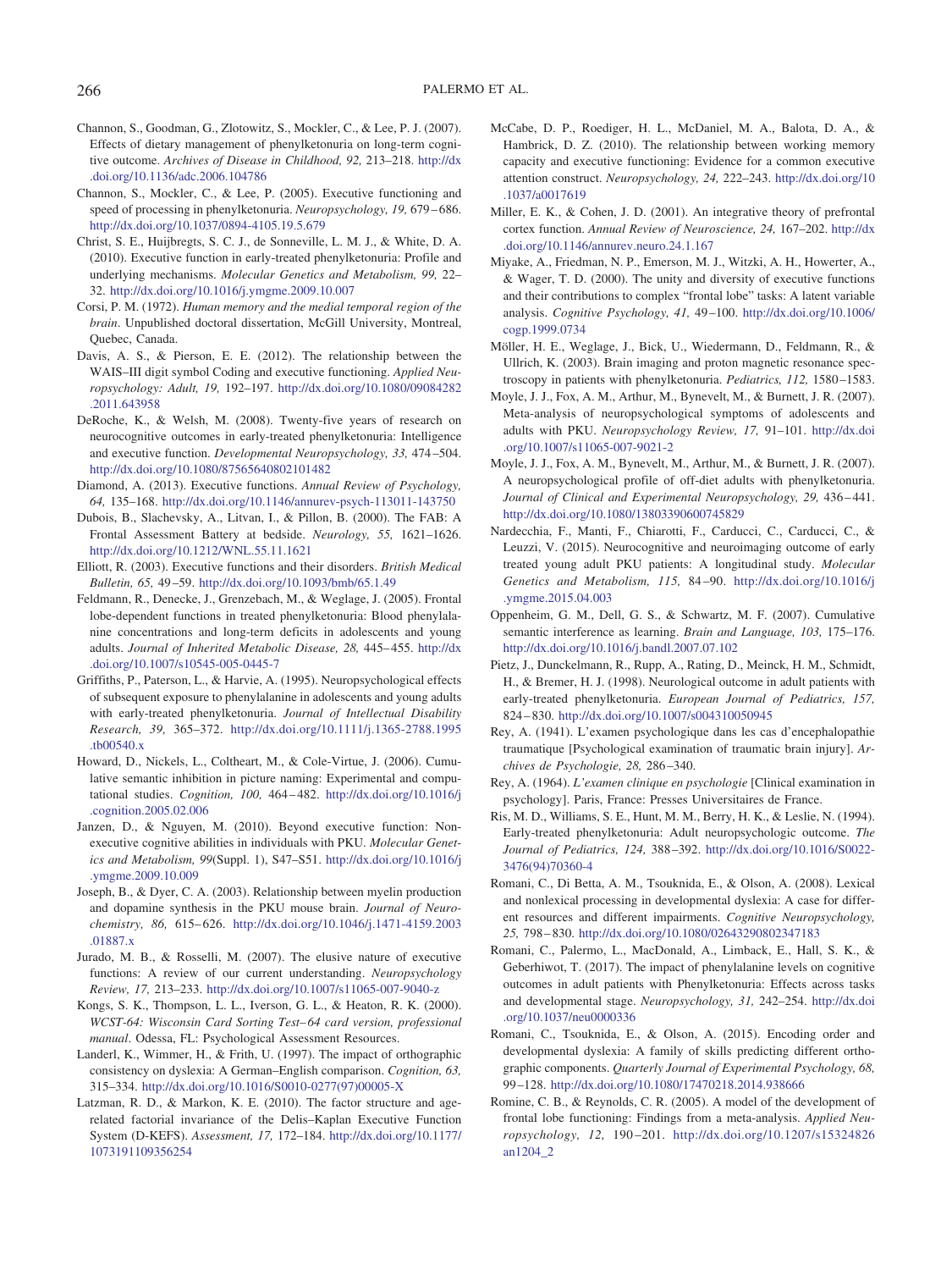- <span id="page-11-15"></span>Channon, S., Goodman, G., Zlotowitz, S., Mockler, C., & Lee, P. J. (2007). Effects of dietary management of phenylketonuria on long-term cognitive outcome. *Archives of Disease in Childhood, 92,* 213–218. [http://dx](http://dx.doi.org/10.1136/adc.2006.104786) [.doi.org/10.1136/adc.2006.104786](http://dx.doi.org/10.1136/adc.2006.104786)
- <span id="page-11-16"></span>Channon, S., Mockler, C., & Lee, P. (2005). Executive functioning and speed of processing in phenylketonuria. *Neuropsychology, 19,* 679 – 686. <http://dx.doi.org/10.1037/0894-4105.19.5.679>
- <span id="page-11-0"></span>Christ, S. E., Huijbregts, S. C. J., de Sonneville, L. M. J., & White, D. A. (2010). Executive function in early-treated phenylketonuria: Profile and underlying mechanisms. *Molecular Genetics and Metabolism, 99,* 22– 32. <http://dx.doi.org/10.1016/j.ymgme.2009.10.007>
- Corsi, P. M. (1972). *Human memory and the medial temporal region of the brain*. Unpublished doctoral dissertation, McGill University, Montreal, Quebec, Canada.
- <span id="page-11-20"></span>Davis, A. S., & Pierson, E. E. (2012). The relationship between the WAIS–III digit symbol Coding and executive functioning. *Applied Neuropsychology: Adult, 19,* 192–197. [http://dx.doi.org/10.1080/09084282](http://dx.doi.org/10.1080/09084282.2011.643958) [.2011.643958](http://dx.doi.org/10.1080/09084282.2011.643958)
- <span id="page-11-3"></span>DeRoche, K., & Welsh, M. (2008). Twenty-five years of research on neurocognitive outcomes in early-treated phenylketonuria: Intelligence and executive function. *Developmental Neuropsychology, 33,* 474 –504. <http://dx.doi.org/10.1080/87565640802101482>
- <span id="page-11-4"></span>Diamond, A. (2013). Executive functions. *Annual Review of Psychology, 64,* 135–168. <http://dx.doi.org/10.1146/annurev-psych-113011-143750>
- <span id="page-11-10"></span>Dubois, B., Slachevsky, A., Litvan, I., & Pillon, B. (2000). The FAB: A Frontal Assessment Battery at bedside. *Neurology, 55,* 1621–1626. <http://dx.doi.org/10.1212/WNL.55.11.1621>
- <span id="page-11-5"></span>Elliott, R. (2003). Executive functions and their disorders. *British Medical Bulletin, 65,* 49 –59. <http://dx.doi.org/10.1093/bmb/65.1.49>
- <span id="page-11-17"></span>Feldmann, R., Denecke, J., Grenzebach, M., & Weglage, J. (2005). Frontal lobe-dependent functions in treated phenylketonuria: Blood phenylalanine concentrations and long-term deficits in adolescents and young adults. *Journal of Inherited Metabolic Disease, 28,* 445– 455. [http://dx](http://dx.doi.org/10.1007/s10545-005-0445-7) [.doi.org/10.1007/s10545-005-0445-7](http://dx.doi.org/10.1007/s10545-005-0445-7)
- <span id="page-11-18"></span>Griffiths, P., Paterson, L., & Harvie, A. (1995). Neuropsychological effects of subsequent exposure to phenylalanine in adolescents and young adults with early-treated phenylketonuria. *Journal of Intellectual Disability Research, 39,* 365–372. [http://dx.doi.org/10.1111/j.1365-2788.1995](http://dx.doi.org/10.1111/j.1365-2788.1995.tb00540.x) [.tb00540.x](http://dx.doi.org/10.1111/j.1365-2788.1995.tb00540.x)
- Howard, D., Nickels, L., Coltheart, M., & Cole-Virtue, J. (2006). Cumulative semantic inhibition in picture naming: Experimental and computational studies. *Cognition, 100,* 464 – 482. [http://dx.doi.org/10.1016/j](http://dx.doi.org/10.1016/j.cognition.2005.02.006) [.cognition.2005.02.006](http://dx.doi.org/10.1016/j.cognition.2005.02.006)
- <span id="page-11-1"></span>Janzen, D., & Nguyen, M. (2010). Beyond executive function: Nonexecutive cognitive abilities in individuals with PKU. *Molecular Genetics and Metabolism, 99*(Suppl. 1), S47–S51. [http://dx.doi.org/10.1016/j](http://dx.doi.org/10.1016/j.ymgme.2009.10.009) [.ymgme.2009.10.009](http://dx.doi.org/10.1016/j.ymgme.2009.10.009)
- <span id="page-11-26"></span>Joseph, B., & Dyer, C. A. (2003). Relationship between myelin production and dopamine synthesis in the PKU mouse brain. *Journal of Neurochemistry, 86,* 615– 626. [http://dx.doi.org/10.1046/j.1471-4159.2003](http://dx.doi.org/10.1046/j.1471-4159.2003.01887.x) [.01887.x](http://dx.doi.org/10.1046/j.1471-4159.2003.01887.x)
- <span id="page-11-7"></span>Jurado, M. B., & Rosselli, M. (2007). The elusive nature of executive functions: A review of our current understanding. *Neuropsychology Review, 17,* 213–233. <http://dx.doi.org/10.1007/s11065-007-9040-z>
- Kongs, S. K., Thompson, L. L., Iverson, G. L., & Heaton, R. K. (2000). *WCST-64: Wisconsin Card Sorting Test– 64 card version, professional manual*. Odessa, FL: Psychological Assessment Resources.
- <span id="page-11-22"></span>Landerl, K., Wimmer, H., & Frith, U. (1997). The impact of orthographic consistency on dyslexia: A German–English comparison. *Cognition, 63,* 315–334. [http://dx.doi.org/10.1016/S0010-0277\(97\)00005-X](http://dx.doi.org/10.1016/S0010-0277%2897%2900005-X)
- <span id="page-11-8"></span>Latzman, R. D., & Markon, K. E. (2010). The factor structure and agerelated factorial invariance of the Delis–Kaplan Executive Function System (D-KEFS). *Assessment, 17,* 172–184. [http://dx.doi.org/10.1177/](http://dx.doi.org/10.1177/1073191109356254) [1073191109356254](http://dx.doi.org/10.1177/1073191109356254)
- <span id="page-11-14"></span>McCabe, D. P., Roediger, H. L., McDaniel, M. A., Balota, D. A., & Hambrick, D. Z. (2010). The relationship between working memory capacity and executive functioning: Evidence for a common executive attention construct. *Neuropsychology, 24,* 222–243. [http://dx.doi.org/10](http://dx.doi.org/10.1037/a0017619) [.1037/a0017619](http://dx.doi.org/10.1037/a0017619)
- <span id="page-11-6"></span>Miller, E. K., & Cohen, J. D. (2001). An integrative theory of prefrontal cortex function. *Annual Review of Neuroscience, 24,* 167–202. [http://dx](http://dx.doi.org/10.1146/annurev.neuro.24.1.167) [.doi.org/10.1146/annurev.neuro.24.1.167](http://dx.doi.org/10.1146/annurev.neuro.24.1.167)
- <span id="page-11-9"></span>Miyake, A., Friedman, N. P., Emerson, M. J., Witzki, A. H., Howerter, A., & Wager, T. D. (2000). The unity and diversity of executive functions and their contributions to complex "frontal lobe" tasks: A latent variable analysis. *Cognitive Psychology, 41,* 49 –100. [http://dx.doi.org/10.1006/](http://dx.doi.org/10.1006/cogp.1999.0734) [cogp.1999.0734](http://dx.doi.org/10.1006/cogp.1999.0734)
- <span id="page-11-25"></span>Möller, H. E., Weglage, J., Bick, U., Wiedermann, D., Feldmann, R., & Ullrich, K. (2003). Brain imaging and proton magnetic resonance spectroscopy in patients with phenylketonuria. *Pediatrics, 112,* 1580 –1583.
- <span id="page-11-2"></span>Moyle, J. J., Fox, A. M., Arthur, M., Bynevelt, M., & Burnett, J. R. (2007). Meta-analysis of neuropsychological symptoms of adolescents and adults with PKU. *Neuropsychology Review, 17,* 91–101. [http://dx.doi](http://dx.doi.org/10.1007/s11065-007-9021-2) [.org/10.1007/s11065-007-9021-2](http://dx.doi.org/10.1007/s11065-007-9021-2)
- <span id="page-11-13"></span>Moyle, J. J., Fox, A. M., Bynevelt, M., Arthur, M., & Burnett, J. R. (2007). A neuropsychological profile of off-diet adults with phenylketonuria. *Journal of Clinical and Experimental Neuropsychology, 29,* 436 – 441. <http://dx.doi.org/10.1080/13803390600745829>
- <span id="page-11-11"></span>Nardecchia, F., Manti, F., Chiarotti, F., Carducci, C., Carducci, C., & Leuzzi, V. (2015). Neurocognitive and neuroimaging outcome of early treated young adult PKU patients: A longitudinal study. *Molecular Genetics and Metabolism, 115,* 84 –90. [http://dx.doi.org/10.1016/j](http://dx.doi.org/10.1016/j.ymgme.2015.04.003) [.ymgme.2015.04.003](http://dx.doi.org/10.1016/j.ymgme.2015.04.003)
- Oppenheim, G. M., Dell, G. S., & Schwartz, M. F. (2007). Cumulative semantic interference as learning. *Brain and Language, 103,* 175–176. <http://dx.doi.org/10.1016/j.bandl.2007.07.102>
- <span id="page-11-19"></span>Pietz, J., Dunckelmann, R., Rupp, A., Rating, D., Meinck, H. M., Schmidt, H., & Bremer, H. J. (1998). Neurological outcome in adult patients with early-treated phenylketonuria. *European Journal of Pediatrics, 157,* 824 – 830. <http://dx.doi.org/10.1007/s004310050945>
- <span id="page-11-21"></span>Rey, A. (1941). L'examen psychologique dans les cas d'encephalopathie traumatique [Psychological examination of traumatic brain injury]. *Archives de Psychologie, 28,* 286 –340.
- Rey, A. (1964). *L'examen clinique en psychologie* [Clinical examination in psychology]. Paris, France: Presses Universitaires de France.
- <span id="page-11-12"></span>Ris, M. D., Williams, S. E., Hunt, M. M., Berry, H. K., & Leslie, N. (1994). Early-treated phenylketonuria: Adult neuropsychologic outcome. *The Journal of Pediatrics, 124,* 388 –392. [http://dx.doi.org/10.1016/S0022-](http://dx.doi.org/10.1016/S0022-3476%2894%2970360-4) [3476\(94\)70360-4](http://dx.doi.org/10.1016/S0022-3476%2894%2970360-4)
- <span id="page-11-24"></span>Romani, C., Di Betta, A. M., Tsouknida, E., & Olson, A. (2008). Lexical and nonlexical processing in developmental dyslexia: A case for different resources and different impairments. *Cognitive Neuropsychology, 25,* 798 – 830. <http://dx.doi.org/10.1080/02643290802347183>
- <span id="page-11-28"></span>Romani, C., Palermo, L., MacDonald, A., Limback, E., Hall, S. K., & Geberhiwot, T. (2017). The impact of phenylalanine levels on cognitive outcomes in adult patients with Phenylketonuria: Effects across tasks and developmental stage. *Neuropsychology, 31,* 242–254. [http://dx.doi](http://dx.doi.org/10.1037/neu0000336) [.org/10.1037/neu0000336](http://dx.doi.org/10.1037/neu0000336)
- <span id="page-11-23"></span>Romani, C., Tsouknida, E., & Olson, A. (2015). Encoding order and developmental dyslexia: A family of skills predicting different orthographic components. *Quarterly Journal of Experimental Psychology, 68,* 99 –128. <http://dx.doi.org/10.1080/17470218.2014.938666>
- <span id="page-11-27"></span>Romine, C. B., & Reynolds, C. R. (2005). A model of the development of frontal lobe functioning: Findings from a meta-analysis. *Applied Neuropsychology, 12,* 190 –201. [http://dx.doi.org/10.1207/s15324826](http://dx.doi.org/10.1207/s15324826an1204_2) [an1204\\_2](http://dx.doi.org/10.1207/s15324826an1204_2)